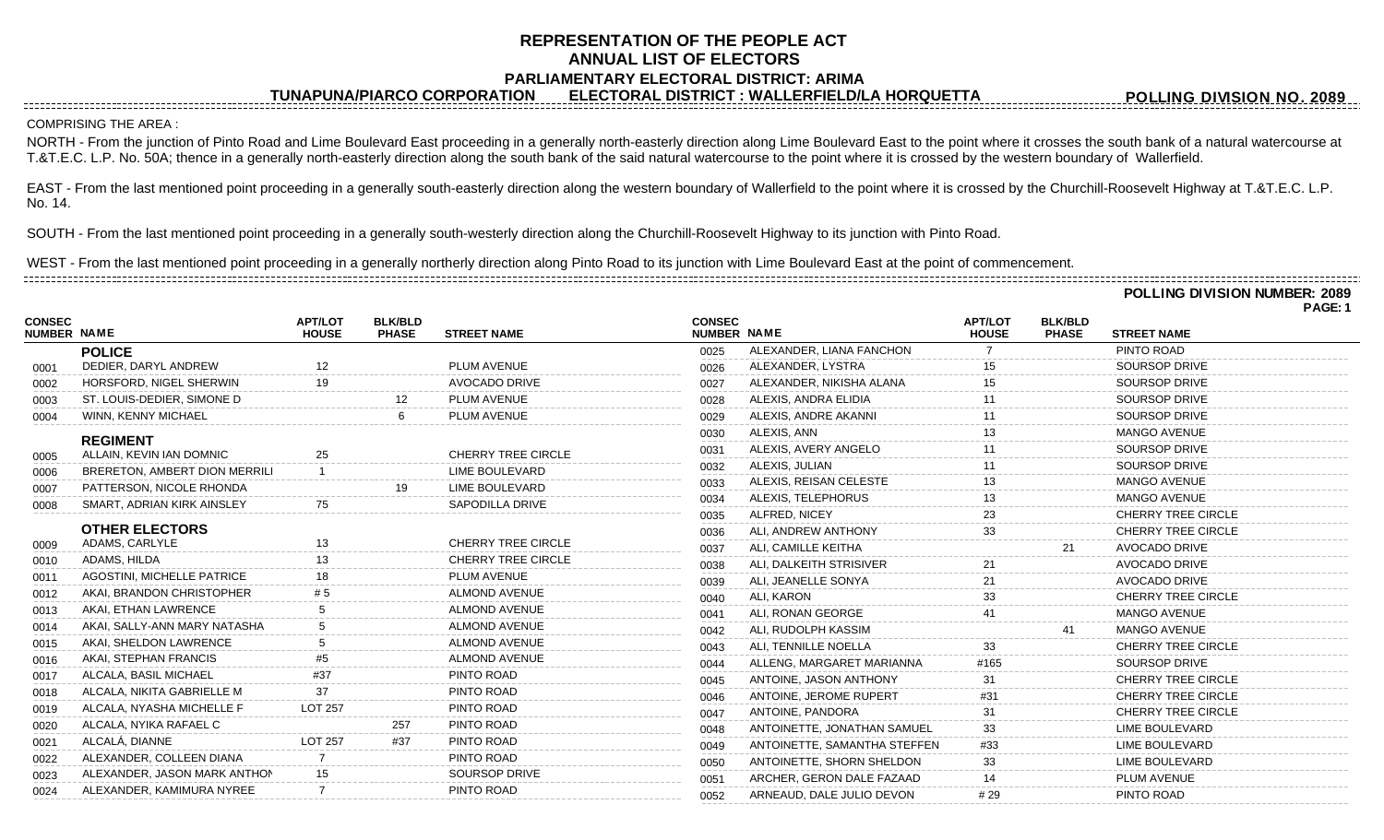## **REPRESENTATION OF THE PEOPLE ACT ANNUAL LIST OF ELECTORS PARLIAMENTARY ELECTORAL DISTRICT: ARIMA**

**TUNAPUNA/PIARCO CORPORATION ELECTORAL DISTRICT : WALLERFIELD/LA HORQUETTA**

**POLLING DIVISION NO. 2089**

## COMPRISING THE AREA :

NORTH - From the junction of Pinto Road and Lime Boulevard East proceeding in a generally north-easterly direction along Lime Boulevard East to the point where it crosses the south bank of a natural watercourse at T.&T.E.C. L.P. No. 50A; thence in a generally north-easterly direction along the south bank of the said natural watercourse to the point where it is crossed by the western boundary of Wallerfield.

EAST - From the last mentioned point proceeding in a generally south-easterly direction along the western boundary of Wallerfield to the point where it is crossed by the Churchill-Roosevelt Highway at T.&T.E.C. L.P. No. 14.

SOUTH - From the last mentioned point proceeding in a generally south-westerly direction along the Churchill-Roosevelt Highway to its junction with Pinto Road.

WEST - From the last mentioned point proceeding in a generally northerly direction along Pinto Road to its junction with Lime Boulevard East at the point of commencement. 

|                                     |                                      |                                |                                |                           |                              |                              |                                |                                | <b>POLLING DIVISION NUMBER: 2089</b><br>PAGE: 1 |
|-------------------------------------|--------------------------------------|--------------------------------|--------------------------------|---------------------------|------------------------------|------------------------------|--------------------------------|--------------------------------|-------------------------------------------------|
| <b>CONSEC</b><br><b>NUMBER NAME</b> |                                      | <b>APT/LOT</b><br><b>HOUSE</b> | <b>BLK/BLD</b><br><b>PHASE</b> | <b>STREET NAME</b>        | <b>CONSEC</b><br>NUMBER NAME |                              | <b>APT/LOT</b><br><b>HOUSE</b> | <b>BLK/BLD</b><br><b>PHASE</b> | <b>STREET NAME</b>                              |
|                                     | <b>POLICE</b>                        |                                |                                |                           | 0025                         | ALEXANDER, LIANA FANCHON     |                                |                                | PINTO ROAD                                      |
| 0001                                | DEDIER, DARYL ANDREW                 |                                |                                | PLUM AVENUE               | 0026                         | ALEXANDER, LYSTRA            |                                |                                | SOURSOP DRIVE                                   |
| 0002                                | HORSFORD, NIGEL SHERWIN              |                                |                                | <b>AVOCADO DRIVE</b>      | 0027                         | ALEXANDER, NIKISHA ALANA     |                                |                                | <b>SOURSOP DRIVE</b>                            |
| 0003                                | ST. LOUIS-DEDIER, SIMONE D           |                                |                                | PLUM AVENUE               | 0028                         | ALEXIS, ANDRA ELIDIA         |                                |                                | SOURSOP DRIVE                                   |
| 0004                                | <b>WINN, KENNY MICHAEL</b>           |                                |                                | PLUM AVENUE               | 0029                         | ALEXIS, ANDRE AKANNI         | 11                             |                                | SOURSOP DRIVE                                   |
|                                     | <b>REGIMENT</b>                      |                                |                                |                           | 0030                         | ALEXIS, ANN                  |                                |                                | <b>MANGO AVENUE</b>                             |
| 0005                                | ALLAIN, KEVIN IAN DOMNIC             | 25                             |                                | <b>CHERRY TREE CIRCLE</b> | 0031                         | ALEXIS, AVERY ANGELO         |                                |                                | <b>SOURSOP DRIVE</b>                            |
| 0006                                | <b>BRERETON, AMBERT DION MERRILI</b> |                                |                                | LIME BOULEVARD            | 0032                         | ALEXIS, JULIAN               |                                |                                | <b>SOURSOP DRIVE</b>                            |
| 0007                                | PATTERSON, NICOLE RHONDA             |                                | 19                             | LIME BOULEVARD            | 0033                         | ALEXIS, REISAN CELESTE       |                                |                                | <b>MANGO AVENUE</b>                             |
| 0008                                | SMART, ADRIAN KIRK AINSLEY           | 75                             |                                | SAPODILLA DRIVE           | 0034                         | ALEXIS, TELEPHORUS           | 13                             |                                | <b>MANGO AVENUE</b>                             |
|                                     |                                      |                                |                                |                           | 0035                         | ALFRED, NICEY                | 23                             |                                | <b>CHERRY TREE CIRCLE</b>                       |
|                                     | <b>OTHER ELECTORS</b>                |                                |                                |                           | 0036                         | ALI, ANDREW ANTHONY          | 33                             |                                | <b>CHERRY TREE CIRCLE</b>                       |
| 0009                                | ADAMS, CARLYLE                       | 13                             |                                | <b>CHERRY TREE CIRCLE</b> | 0037                         | ALI, CAMILLE KEITHA          |                                | 21                             | <b>AVOCADO DRIVE</b>                            |
| 0010                                | ADAMS, HILDA                         |                                |                                | <b>CHERRY TREE CIRCLE</b> | 0038                         | ALI, DALKEITH STRISIVER      |                                |                                | <b>AVOCADO DRIVE</b>                            |
| 0011                                | <b>AGOSTINI, MICHELLE PATRICE</b>    |                                |                                | PLUM AVENUE               | 0039                         | ALI, JEANELLE SONYA          |                                |                                | AVOCADO DRIVE                                   |
| 0012                                | AKAI, BRANDON CHRISTOPHER            |                                |                                | <b>ALMOND AVENUE</b>      | 0040                         | ALI, KARON                   |                                |                                | <b>CHERRY TREE CIRCLE</b>                       |
| 0013                                | AKAI, ETHAN LAWRENCE                 |                                |                                | <b>ALMOND AVENUE</b>      | 0041                         | ALI, RONAN GEORGE            | 41                             |                                | <b>MANGO AVENUE</b>                             |
| 0014                                | AKAI, SALLY-ANN MARY NATASHA         |                                |                                | <b>ALMOND AVENUE</b>      | 0042                         | ALI, RUDOLPH KASSIM          |                                | 41                             | <b>MANGO AVENUE</b>                             |
| 0015                                | AKAI. SHELDON LAWRENCE               |                                |                                | <b>ALMOND AVENUE</b>      | 0043                         | ALI, TENNILLE NOELLA         | 33                             |                                | <b>CHERRY TREE CIRCLE</b>                       |
| 0016                                | AKAI, STEPHAN FRANCIS                | #5                             |                                | <b>ALMOND AVENUE</b>      | 0044                         | ALLENG, MARGARET MARIANNA    | #165                           |                                | SOURSOP DRIVE                                   |
| 0017                                | ALCALA, BASIL MICHAEL                | #37                            |                                | PINTO ROAD                | 0045                         | ANTOINE, JASON ANTHONY       |                                |                                | <b>CHERRY TREE CIRCLE</b>                       |
| 0018                                | ALCALA, NIKITA GABRIELLE M           | 37                             |                                | PINTO ROAD                | 0046                         | ANTOINE, JEROME RUPERT       | #31                            |                                | <b>CHERRY TREE CIRCLE</b>                       |
| 0019                                | ALCALA, NYASHA MICHELLE F            | <b>LOT 257</b>                 |                                | PINTO ROAD                | 0047                         | ANTOINE, PANDORA             | 31                             |                                | <b>CHERRY TREE CIRCLE</b>                       |
| 0020                                | ALCALA, NYIKA RAFAEL C               |                                | 257                            | PINTO ROAD                | 0048                         | ANTOINETTE, JONATHAN SAMUEL  | 33                             |                                | LIME BOULEVARD                                  |
| 0021                                | ALCALÁ, DIANNE                       | <b>LOT 257</b>                 | #37                            | PINTO ROAD                | 0049                         | ANTOINETTE, SAMANTHA STEFFEN | #33                            |                                | <b>LIME BOULEVARD</b>                           |
| 0022                                | ALEXANDER, COLLEEN DIANA             |                                |                                | PINTO ROAD                | 0050                         | ANTOINETTE, SHORN SHELDON    | 33                             |                                | LIME BOULEVARD                                  |
| 0023                                | ALEXANDER, JASON MARK ANTHON         |                                |                                | SOURSOP DRIVE             | 0051                         | ARCHER, GERON DALE FAZAAD    | 14                             |                                | PLUM AVENUE                                     |
| 0024                                | ALEXANDER, KAMIMURA NYREE            |                                |                                | PINTO ROAD                | 0052                         | ARNEAUD, DALE JULIO DEVON    | # 29                           |                                | PINTO ROAD                                      |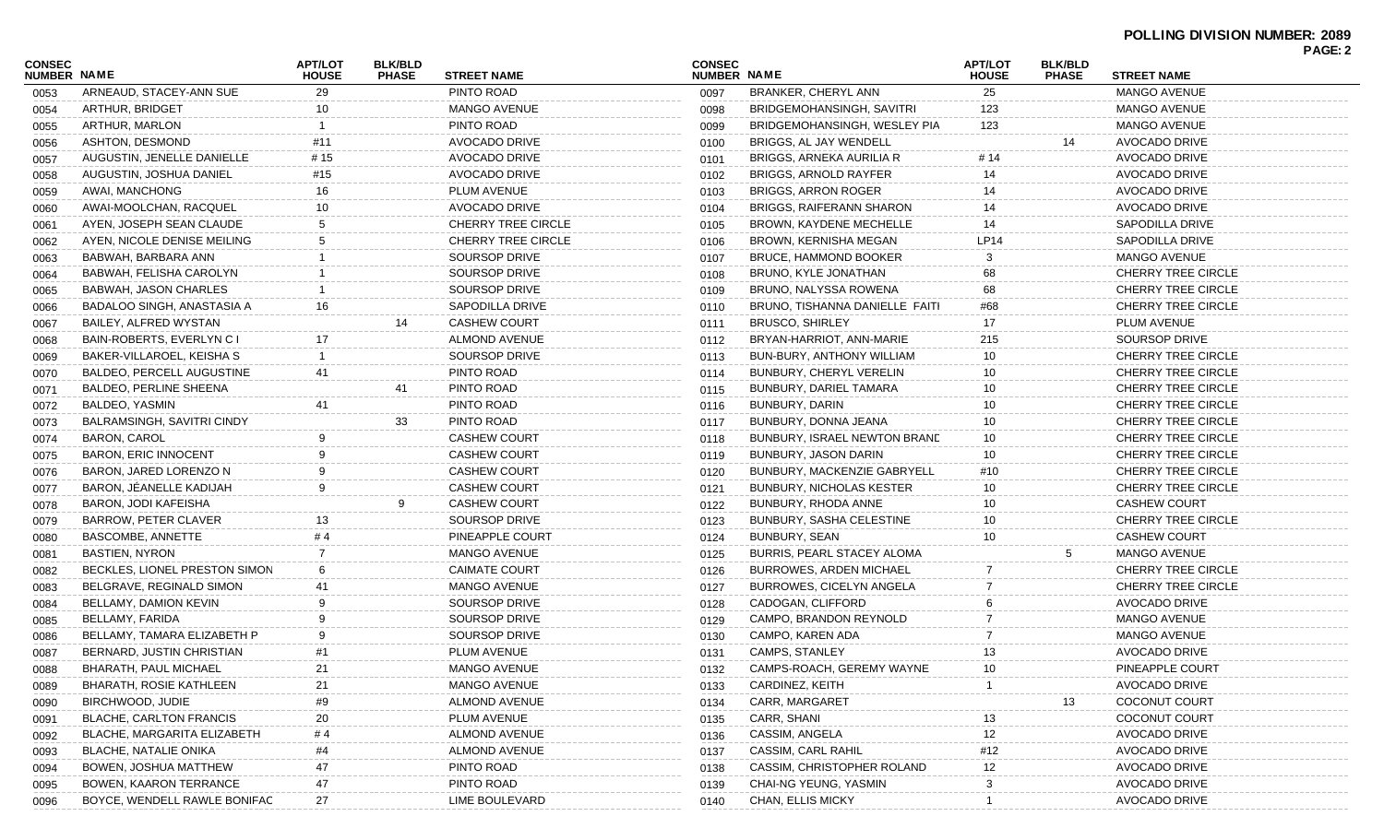|                              |                                   |                                |                                |                           |                              |                                 |                                |                                |                           | <b>PAGE: 2</b> |
|------------------------------|-----------------------------------|--------------------------------|--------------------------------|---------------------------|------------------------------|---------------------------------|--------------------------------|--------------------------------|---------------------------|----------------|
| <b>CONSEC</b><br>NUMBER NAME |                                   | <b>APT/LOT</b><br><b>HOUSE</b> | <b>BLK/BLD</b><br><b>PHASE</b> | <b>STREET NAME</b>        | <b>CONSEC</b><br>NUMBER NAME |                                 | <b>APT/LOT</b><br><b>HOUSE</b> | <b>BLK/BLD</b><br><b>PHASE</b> | <b>STREET NAME</b>        |                |
| 0053                         | ARNEAUD, STACEY-ANN SUE           | 29                             |                                | PINTO ROAD                | 0097                         | BRANKER, CHERYL ANN             | 25                             |                                | <b>MANGO AVENUE</b>       |                |
| 0054                         | ARTHUR, BRIDGET                   | 10                             |                                | <b>MANGO AVENUE</b>       | 0098                         | BRIDGEMOHANSINGH, SAVITRI       | 123                            |                                | <b>MANGO AVENUE</b>       |                |
| 0055                         | ARTHUR, MARLON                    |                                |                                | PINTO ROAD                | 0099                         | BRIDGEMOHANSINGH, WESLEY PIA    | 123                            |                                | <b>MANGO AVENUE</b>       |                |
| 0056                         | ASHTON, DESMOND                   | #11                            |                                | <b>AVOCADO DRIVE</b>      | 0100                         | BRIGGS. AL JAY WENDELL          |                                | 14                             | AVOCADO DRIVE             |                |
| 0057                         | AUGUSTIN, JENELLE DANIELLE        | # 15                           |                                | AVOCADO DRIVE             | 0101                         | BRIGGS, ARNEKA AURILIA R        | # 14                           |                                | <b>AVOCADO DRIVE</b>      |                |
| 0058                         | AUGUSTIN, JOSHUA DANIEL           | #15                            |                                | AVOCADO DRIVE             | 0102                         | <b>BRIGGS, ARNOLD RAYFER</b>    | 14                             |                                | <b>AVOCADO DRIVE</b>      |                |
| 0059                         | AWAI, MANCHONG                    | 16                             |                                | PLUM AVENUE               | 0103                         | <b>BRIGGS, ARRON ROGER</b>      | 14                             |                                | <b>AVOCADO DRIVE</b>      |                |
| 0060                         | AWAI-MOOLCHAN, RACQUEL            | 10                             |                                | <b>AVOCADO DRIVE</b>      | 0104                         | <b>BRIGGS, RAIFERANN SHARON</b> | 14                             |                                | AVOCADO DRIVE             |                |
| 0061                         | AYEN, JOSEPH SEAN CLAUDE          | -5                             |                                | <b>CHERRY TREE CIRCLE</b> | 0105                         | BROWN, KAYDENE MECHELLE         | 14                             |                                | SAPODILLA DRIVE           |                |
| 0062                         | AYEN, NICOLE DENISE MEILING       |                                |                                | <b>CHERRY TREE CIRCLE</b> | 0106                         | <b>BROWN, KERNISHA MEGAN</b>    | <b>LP14</b>                    |                                | SAPODILLA DRIVE           |                |
| 0063                         | BABWAH, BARBARA ANN               |                                |                                | SOURSOP DRIVE             | 0107                         | <b>BRUCE, HAMMOND BOOKER</b>    |                                |                                | MANGO AVENUE              |                |
| 0064                         | BABWAH, FELISHA CAROLYN           |                                |                                | SOURSOP DRIVE             | 0108                         | BRUNO, KYLE JONATHAN            | 68                             |                                | <b>CHERRY TREE CIRCLE</b> |                |
| 0065                         | BABWAH, JASON CHARLES             |                                |                                | SOURSOP DRIVE             | 0109                         | BRUNO, NALYSSA ROWENA           | 68                             |                                | <b>CHERRY TREE CIRCLE</b> |                |
| 0066                         | BADALOO SINGH, ANASTASIA A        | 16                             |                                | <b>SAPODILLA DRIVE</b>    | 0110                         | BRUNO, TISHANNA DANIELLE FAITI  | #68                            |                                | <b>CHERRY TREE CIRCLE</b> |                |
| 0067                         | BAILEY, ALFRED WYSTAN             |                                | 14                             | <b>CASHEW COURT</b>       | 0111                         | <b>BRUSCO, SHIRLEY</b>          | 17                             |                                | PLUM AVENUE               |                |
| 0068                         | BAIN-ROBERTS, EVERLYN C I         | 17                             |                                | <b>ALMOND AVENUE</b>      | 0112                         | BRYAN-HARRIOT, ANN-MARIE        | 215                            |                                | <b>SOURSOP DRIVE</b>      |                |
| 0069                         | BAKER-VILLAROEL, KEISHA S         |                                |                                | <b>SOURSOP DRIVE</b>      | 0113                         | BUN-BURY, ANTHONY WILLIAM       | 10                             |                                | <b>CHERRY TREE CIRCLE</b> |                |
| 0070                         | <b>BALDEO, PERCELL AUGUSTINE</b>  | 41                             |                                | PINTO ROAD                | 0114                         | BUNBURY, CHERYL VERELIN         | 10                             |                                | <b>CHERRY TREE CIRCLE</b> |                |
| 0071                         | BALDEO, PERLINE SHEENA            |                                | 41                             | PINTO ROAD                | 0115                         | BUNBURY, DARIEL TAMARA          | 10                             |                                | <b>CHERRY TREE CIRCLE</b> |                |
| 0072                         | BALDEO, YASMIN                    | 41                             |                                | PINTO ROAD                | 0116                         | BUNBURY, DARIN                  | 10                             |                                | <b>CHERRY TREE CIRCLE</b> |                |
| 0073                         | <b>BALRAMSINGH, SAVITRI CINDY</b> |                                | 33                             | PINTO ROAD                | 0117                         | BUNBURY, DONNA JEANA            | 10                             |                                | <b>CHERRY TREE CIRCLE</b> |                |
| 0074                         | BARON, CAROL                      |                                |                                | <b>CASHEW COURT</b>       | 0118                         | BUNBURY, ISRAEL NEWTON BRAND    | 10                             |                                | <b>CHERRY TREE CIRCLE</b> |                |
| 0075                         | <b>BARON, ERIC INNOCENT</b>       |                                |                                | <b>CASHEW COURT</b>       | 0119                         | BUNBURY, JASON DARIN            | 10                             |                                | <b>CHERRY TREE CIRCLE</b> |                |
| 0076                         | BARON, JARED LORENZO N            |                                |                                | <b>CASHEW COURT</b>       | 0120                         | BUNBURY, MACKENZIE GABRYELL     | #10                            |                                | <b>CHERRY TREE CIRCLE</b> |                |
| 0077                         | BARON, JÉANELLE KADIJAH           |                                |                                | <b>CASHEW COURT</b>       | 0121                         | <b>BUNBURY, NICHOLAS KESTER</b> | 10                             |                                | <b>CHERRY TREE CIRCLE</b> |                |
| 0078                         | <b>BARON, JODI KAFEISHA</b>       |                                | 9                              | <b>CASHEW COURT</b>       | 0122                         | BUNBURY, RHODA ANNE             | 10                             |                                | <b>CASHEW COURT</b>       |                |
| 0079                         | BARROW, PETER CLAVER              | 13                             |                                | SOURSOP DRIVE             | 0123                         | BUNBURY, SASHA CELESTINE        | 10                             |                                | <b>CHERRY TREE CIRCLE</b> |                |
| 0080                         | BASCOMBE, ANNETTE                 | # 4                            |                                | PINEAPPLE COURT           | 0124                         | <b>BUNBURY, SEAN</b>            | 10                             |                                | <b>CASHEW COURT</b>       |                |
|                              | <b>BASTIEN, NYRON</b>             |                                |                                | MANGO AVENUE              | 0125                         | BURRIS, PEARL STACEY ALOMA      |                                | 5                              | MANGO AVENUE              |                |
| 0081                         | BECKLES, LIONEL PRESTON SIMON     |                                |                                | <b>CAIMATE COURT</b>      | 0126                         | <b>BURROWES, ARDEN MICHAEL</b>  |                                |                                | <b>CHERRY TREE CIRCLE</b> |                |
| 0082                         | BELGRAVE, REGINALD SIMON          | 41                             |                                | MANGO AVENUE              |                              | <b>BURROWES, CICELYN ANGELA</b> |                                |                                | <b>CHERRY TREE CIRCLE</b> |                |
| 0083                         | BELLAMY, DAMION KEVIN             |                                |                                | SOURSOP DRIVE             | 0127                         | CADOGAN, CLIFFORD               |                                |                                | <b>AVOCADO DRIVE</b>      |                |
| 0084                         |                                   |                                |                                | SOURSOP DRIVE             | 0128                         |                                 |                                |                                | <b>MANGO AVENUE</b>       |                |
| 0085                         | BELLAMY, FARIDA                   |                                |                                |                           | 0129                         | CAMPO, BRANDON REYNOLD          |                                |                                |                           |                |
| 0086                         | BELLAMY, TAMARA ELIZABETH P       |                                |                                | SOURSOP DRIVE             | 0130                         | CAMPO, KAREN ADA                |                                |                                | MANGO AVENUE              |                |
| 0087                         | BERNARD, JUSTIN CHRISTIAN         | #1                             |                                | PLUM AVENUE               | 0131                         | <b>CAMPS, STANLEY</b>           | 13                             |                                | AVOCADO DRIVE             |                |
| 0088                         | BHARATH, PAUL MICHAEL             | 21                             |                                | MANGO AVENUE              | 0132                         | CAMPS-ROACH, GEREMY WAYNE       | 10 <sup>°</sup>                |                                | PINEAPPLE COURT           |                |
| 0089                         | BHARATH, ROSIE KATHLEEN           | 21                             |                                | MANGO AVENUE              | 0133                         | CARDINEZ, KEITH                 |                                |                                | AVOCADO DRIVE             |                |
| 0090                         | BIRCHWOOD, JUDIE                  | #9                             |                                | <b>ALMOND AVENUE</b>      | 0134                         | CARR, MARGARET                  |                                | 13                             | COCONUT COURT             |                |
| 0091                         | <b>BLACHE, CARLTON FRANCIS</b>    | 20                             |                                | PLUM AVENUE               | 0135                         | CARR, SHANI                     | 13                             |                                | COCONUT COURT             |                |
| 0092                         | BLACHE, MARGARITA ELIZABETH       | #4                             |                                | <b>ALMOND AVENUE</b>      | 0136                         | CASSIM, ANGELA                  | 12                             |                                | AVOCADO DRIVE             |                |
| 0093                         | BLACHE, NATALIE ONIKA             | #4                             |                                | <b>ALMOND AVENUE</b>      | 0137                         | CASSIM, CARL RAHIL              | #12                            |                                | AVOCADO DRIVE             |                |
| 0094                         | BOWEN, JOSHUA MATTHEW             | 47                             |                                | PINTO ROAD                | 0138                         | CASSIM, CHRISTOPHER ROLAND      | 12                             |                                | AVOCADO DRIVE             |                |
| 0095                         | <b>BOWEN, KAARON TERRANCE</b>     | 47                             |                                | PINTO ROAD                | 0139                         | CHAI-NG YEUNG, YASMIN           |                                |                                | AVOCADO DRIVE             |                |
| 0096                         | BOYCE, WENDELL RAWLE BONIFAC      | 27                             |                                | LIME BOULEVARD            | 0140                         | CHAN, ELLIS MICKY               |                                |                                | AVOCADO DRIVE             |                |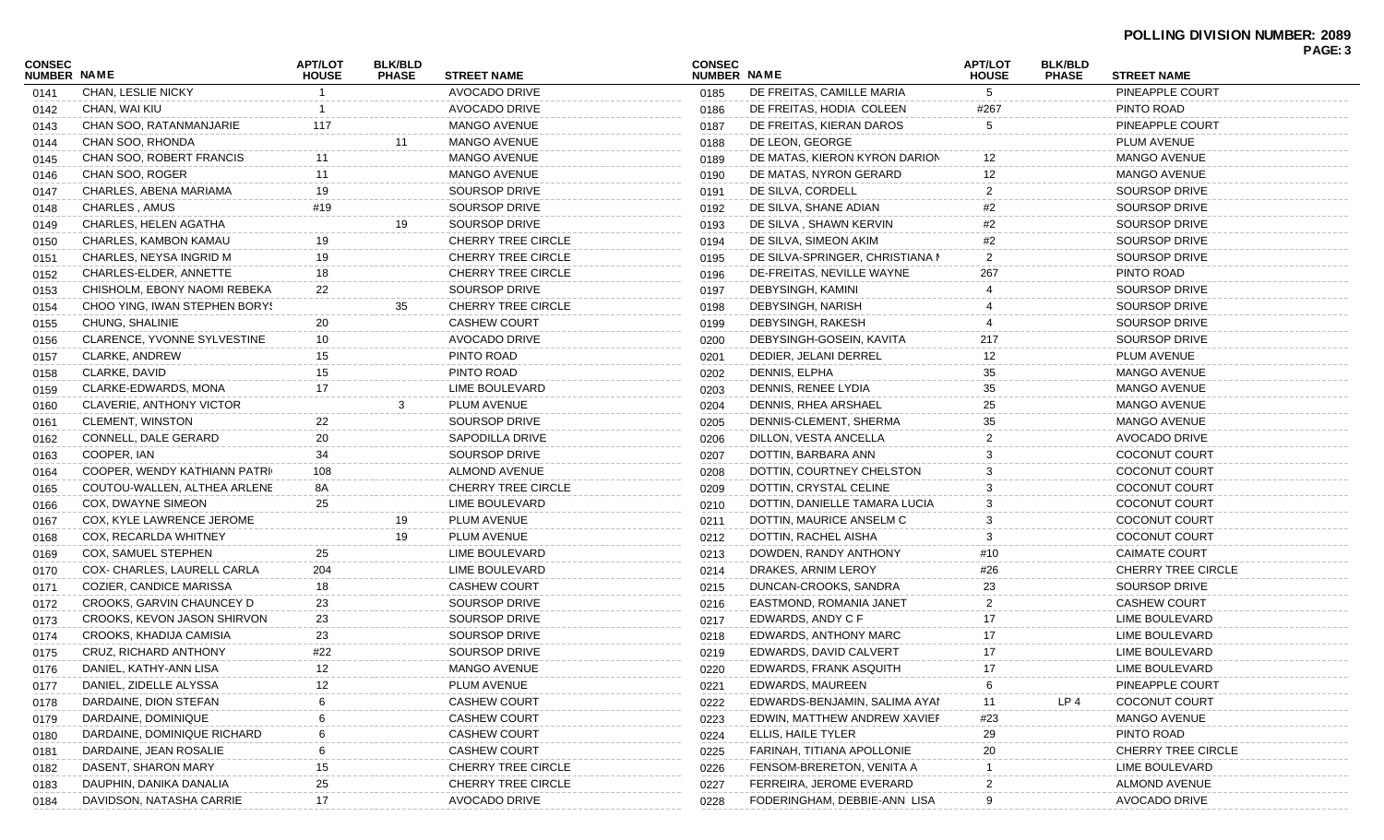| CONSEC<br><b>NUMBER NAME</b> |                                    | <b>APT/LOT</b><br><b>HOUSE</b> | <b>BLK/BLD</b><br><b>PHASE</b> | <b>STREET NAME</b>        | <b>CONSEC</b><br><b>NUMBER NAME</b> |                                 | <b>APT/LOT</b><br><b>HOUSE</b> | <b>BLK/BLD</b><br><b>PHASE</b> | <b>STREET NAME</b>        | PAGE: 3 |
|------------------------------|------------------------------------|--------------------------------|--------------------------------|---------------------------|-------------------------------------|---------------------------------|--------------------------------|--------------------------------|---------------------------|---------|
| 0141                         | CHAN, LESLIE NICKY                 |                                |                                | AVOCADO DRIVE             | 0185                                | DE FREITAS, CAMILLE MARIA       | 5                              |                                | PINEAPPLE COURT           |         |
| 0142                         | CHAN, WAI KIU                      |                                |                                | AVOCADO DRIVE             | 0186                                | DE FREITAS, HODIA COLEEN        | #267                           |                                | PINTO ROAD                |         |
| 0143                         | CHAN SOO, RATANMANJARIE            | 117                            |                                | <b>MANGO AVENUE</b>       | 0187                                | DE FREITAS, KIERAN DAROS        | 5                              |                                | PINEAPPLE COURT           |         |
| 0144                         | CHAN SOO, RHONDA                   |                                | 11                             | MANGO AVENUE              | 0188                                | DE LEON, GEORGE                 |                                |                                | PLUM AVENUE               |         |
| 0145                         | CHAN SOO, ROBERT FRANCIS           | 11                             |                                | MANGO AVENUE              | 0189                                | DE MATAS, KIERON KYRON DARION   | 12                             |                                | <b>MANGO AVENUE</b>       |         |
| 0146                         | CHAN SOO, ROGER                    | 11                             |                                | <b>MANGO AVENUE</b>       | 0190                                | DE MATAS, NYRON GERARD          | 12                             |                                | <b>MANGO AVENUE</b>       |         |
| 0147                         | CHARLES, ABENA MARIAMA             | 19                             |                                | SOURSOP DRIVE             | 0191                                | DE SILVA, CORDELL               | 2                              |                                | <b>SOURSOP DRIVE</b>      |         |
| 0148                         | CHARLES, AMUS                      | #19                            |                                | <b>SOURSOP DRIVE</b>      | 0192                                | DE SILVA, SHANE ADIAN           | #2                             |                                | <b>SOURSOP DRIVE</b>      |         |
| 0149                         | CHARLES, HELEN AGATHA              |                                | 19                             | SOURSOP DRIVE             | 0193                                | DE SILVA, SHAWN KERVIN          |                                |                                | <b>SOURSOP DRIVE</b>      |         |
| 0150                         | CHARLES, KAMBON KAMAU              | 19                             |                                | <b>CHERRY TREE CIRCLE</b> | 0194                                | DE SILVA, SIMEON AKIM           | #2                             |                                | <b>SOURSOP DRIVE</b>      |         |
| 0151                         | CHARLES, NEYSA INGRID M            | 19                             |                                | <b>CHERRY TREE CIRCLE</b> | 0195                                | DE SILVA-SPRINGER, CHRISTIANA N | 2                              |                                | <b>SOURSOP DRIVE</b>      |         |
| 0152                         | CHARLES-ELDER, ANNETTE             | 18                             |                                | <b>CHERRY TREE CIRCLE</b> | 0196                                | DE-FREITAS, NEVILLE WAYNE       | 267                            |                                | PINTO ROAD                |         |
| 0153                         | CHISHOLM, EBONY NAOMI REBEKA       | 22                             |                                | SOURSOP DRIVE             | 0197                                | DEBYSINGH, KAMINI               |                                |                                | <b>SOURSOP DRIVE</b>      |         |
| 0154                         | CHOO YING, IWAN STEPHEN BORYS      |                                | 35                             | <b>CHERRY TREE CIRCLE</b> | 0198                                | DEBYSINGH, NARISH               |                                |                                | <b>SOURSOP DRIVE</b>      |         |
| 0155                         | CHUNG, SHALINIE                    | 20                             |                                | <b>CASHEW COURT</b>       | 0199                                | DEBYSINGH, RAKESH               |                                |                                | <b>SOURSOP DRIVE</b>      |         |
| 0156                         | <b>CLARENCE, YVONNE SYLVESTINE</b> | 10                             |                                | AVOCADO DRIVE             | 0200                                | DEBYSINGH-GOSEIN, KAVITA        | 217                            |                                | <b>SOURSOP DRIVE</b>      |         |
| 0157                         | CLARKE, ANDREW                     | 15                             |                                | PINTO ROAD                | 0201                                | DEDIER, JELANI DERREL           | 12                             |                                | PLUM AVENUE               |         |
| 0158                         | CLARKE, DAVID                      | 15                             |                                | PINTO ROAD                | 0202                                | DENNIS, ELPHA                   | 35                             |                                | <b>MANGO AVENUE</b>       |         |
| 0159                         | CLARKE-EDWARDS, MONA               | 17                             |                                | LIME BOULEVARD            | 0203                                | DENNIS, RENEE LYDIA             | 35                             |                                | <b>MANGO AVENUE</b>       |         |
| 0160                         | CLAVERIE, ANTHONY VICTOR           |                                | 3                              | PLUM AVENUE               | 0204                                | DENNIS, RHEA ARSHAEL            | 25                             |                                | <b>MANGO AVENUE</b>       |         |
| 0161                         | CLEMENT, WINSTON                   | 22                             |                                | SOURSOP DRIVE             | 0205                                | DENNIS-CLEMENT, SHERMA          | 35                             |                                | <b>MANGO AVENUE</b>       |         |
| 0162                         | CONNELL, DALE GERARD               | 20                             |                                | <b>SAPODILLA DRIVE</b>    | 0206                                | DILLON, VESTA ANCELLA           | 2                              |                                | AVOCADO DRIVE             |         |
| 0163                         | COOPER, IAN                        | 34                             |                                | SOURSOP DRIVE             | 0207                                | DOTTIN, BARBARA ANN             |                                |                                | <b>COCONUT COURT</b>      |         |
| 0164                         | COOPER, WENDY KATHIANN PATRI       | 108                            |                                | <b>ALMOND AVENUE</b>      | 0208                                | DOTTIN, COURTNEY CHELSTON       |                                |                                | COCONUT COURT             |         |
| 0165                         | COUTOU-WALLEN, ALTHEA ARLENE       | 8A                             |                                | <b>CHERRY TREE CIRCLE</b> | 0209                                | DOTTIN, CRYSTAL CELINE          |                                |                                | COCONUT COURT             |         |
| 0166                         | COX, DWAYNE SIMEON                 | 25                             |                                | LIME BOULEVARD            | 0210                                | DOTTIN, DANIELLE TAMARA LUCIA   | 3                              |                                | COCONUT COURT             |         |
| 0167                         | COX, KYLE LAWRENCE JEROME          |                                | 19                             | PLUM AVENUE               | 0211                                | DOTTIN, MAURICE ANSELM C        | 3                              |                                | <b>COCONUT COURT</b>      |         |
| 0168                         | COX, RECARLDA WHITNEY              |                                | 19                             | PLUM AVENUE               | 0212                                | DOTTIN, RACHEL AISHA            |                                |                                | <b>COCONUT COURT</b>      |         |
| 0169                         | COX, SAMUEL STEPHEN                | 25                             |                                | LIME BOULEVARD            | 0213                                | DOWDEN, RANDY ANTHONY           | #10                            |                                | <b>CAIMATE COURT</b>      |         |
| 0170                         | COX- CHARLES, LAURELL CARLA        | 204                            |                                | LIME BOULEVARD            | 0214                                | DRAKES, ARNIM LEROY             | #26                            |                                | <b>CHERRY TREE CIRCLE</b> |         |
| 0171                         | COZIER, CANDICE MARISSA            | 18                             |                                | <b>CASHEW COURT</b>       | 0215                                | DUNCAN-CROOKS, SANDRA           | 23                             |                                | SOURSOP DRIVE             |         |
| 0172                         | CROOKS, GARVIN CHAUNCEY D          | 23                             |                                | SOURSOP DRIVE             | 0216                                | EASTMOND, ROMANIA JANET         | 2                              |                                | <b>CASHEW COURT</b>       |         |
| 0173                         | CROOKS, KEVON JASON SHIRVON        | 23                             |                                | SOURSOP DRIVE             | 0217                                | EDWARDS, ANDY C F               | 17                             |                                | LIME BOULEVARD            |         |
| 0174                         | CROOKS, KHADIJA CAMISIA            | 23                             |                                | SOURSOP DRIVE             | 0218                                | EDWARDS, ANTHONY MARC           |                                |                                | LIME BOULEVARD            |         |
| 0175                         | CRUZ, RICHARD ANTHONY              | #22                            |                                | SOURSOP DRIVE             | 0219                                | EDWARDS, DAVID CALVERT          | 17                             |                                | LIME BOULEVARD            |         |
| 0176                         | DANIEL, KATHY-ANN LISA             | 12                             |                                | MANGO AVENUE              | 0220                                | EDWARDS, FRANK ASQUITH          | 17                             |                                | LIME BOULEVARD            |         |
| 0177                         | DANIEL, ZIDELLE ALYSSA             | 12                             |                                | PLUM AVENUE               | 0221                                | EDWARDS, MAUREEN                |                                |                                | PINEAPPLE COURT           |         |
| 0178                         | DARDAINE, DION STEFAN              |                                |                                | <b>CASHEW COURT</b>       | 0222                                | EDWARDS-BENJAMIN, SALIMA AYAN   | 11                             | LP 4                           | <b>COCONUT COURT</b>      |         |
| 0179                         | DARDAINE, DOMINIQUE                |                                |                                | <b>CASHEW COURT</b>       | 0223                                | EDWIN, MATTHEW ANDREW XAVIEF    | #23                            |                                | <b>MANGO AVENUE</b>       |         |
| 0180                         | DARDAINE, DOMINIQUE RICHARD        |                                |                                | <b>CASHEW COURT</b>       | 0224                                | ELLIS, HAILE TYLER              | 29                             |                                | PINTO ROAD                |         |
| 0181                         | DARDAINE, JEAN ROSALIE             | 6                              |                                | <b>CASHEW COURT</b>       | 0225                                | FARINAH, TITIANA APOLLONIE      | 20                             |                                | CHERRY TREE CIRCLE        |         |
|                              | DASENT, SHARON MARY                | 15                             |                                | CHERRY TREE CIRCLE        |                                     | FENSOM-BRERETON, VENITA A       |                                |                                | LIME BOULEVARD            |         |
| 0182                         | DAUPHIN, DANIKA DANALIA            | 25                             |                                | CHERRY TREE CIRCLE        | 0226                                | FERREIRA, JEROME EVERARD        |                                |                                | ALMOND AVENUE             |         |
| 0183                         | DAVIDSON, NATASHA CARRIE           | 17                             |                                | <b>AVOCADO DRIVE</b>      | 0227<br>0228                        | FODERINGHAM, DEBBIE-ANN LISA    | 9                              |                                | AVOCADO DRIVE             |         |
| 0184                         |                                    |                                |                                |                           |                                     |                                 |                                |                                |                           |         |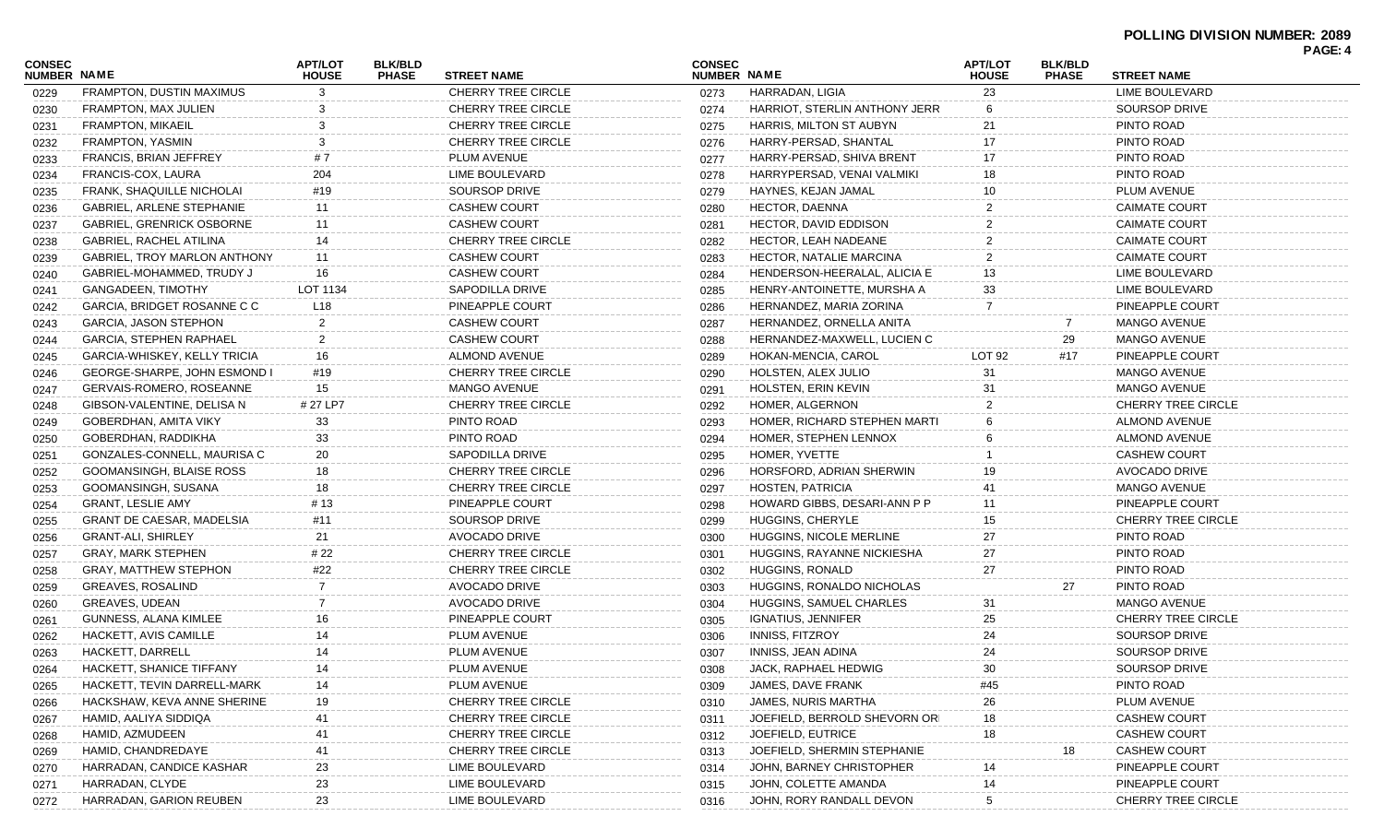| CONSEC<br><b>NUMBER NAME</b> |                                     | <b>APT/LOT</b><br><b>HOUSE</b> | <b>BLK/BLD</b><br><b>PHASE</b> | <b>STREET NAME</b>        | <b>CONSEC</b><br><b>NUMBER NAME</b> |                               | <b>APT/LOT</b><br><b>HOUSE</b> | <b>BLK/BLD</b><br><b>PHASE</b> | <b>STREET NAME</b>        | PAGE: 4 |
|------------------------------|-------------------------------------|--------------------------------|--------------------------------|---------------------------|-------------------------------------|-------------------------------|--------------------------------|--------------------------------|---------------------------|---------|
| 0229                         | FRAMPTON, DUSTIN MAXIMUS            | 3                              |                                | <b>CHERRY TREE CIRCLE</b> | 0273                                | HARRADAN, LIGIA               | 23                             |                                | <b>LIME BOULEVARD</b>     |         |
| 0230                         | FRAMPTON, MAX JULIEN                | 3                              |                                | <b>CHERRY TREE CIRCLE</b> | 0274                                | HARRIOT, STERLIN ANTHONY JERR | 6                              |                                | <b>SOURSOP DRIVE</b>      |         |
| 0231                         | <b>FRAMPTON, MIKAEIL</b>            |                                |                                | <b>CHERRY TREE CIRCLE</b> | 0275                                | HARRIS, MILTON ST AUBYN       | 21                             |                                | PINTO ROAD                |         |
| 0232                         | FRAMPTON, YASMIN                    |                                |                                | <b>CHERRY TREE CIRCLE</b> | 0276                                | HARRY-PERSAD, SHANTAL         |                                |                                | PINTO ROAD                |         |
| 0233                         | <b>FRANCIS, BRIAN JEFFREY</b>       | #7                             |                                | PLUM AVENUE               | 0277                                | HARRY-PERSAD, SHIVA BRENT     | 17                             |                                | PINTO ROAD                |         |
|                              | FRANCIS-COX, LAURA                  | 204                            |                                | LIME BOULEVARD            | 0278                                | HARRYPERSAD, VENAI VALMIKI    | 18                             |                                | PINTO ROAD                |         |
| 0234                         | FRANK, SHAQUILLE NICHOLAI           | #19                            |                                | SOURSOP DRIVE             | 0279                                | HAYNES, KEJAN JAMAL           | 10                             |                                | PLUM AVENUE               |         |
| 0235                         | <b>GABRIEL, ARLENE STEPHANIE</b>    | 11                             |                                | <b>CASHEW COURT</b>       |                                     | <b>HECTOR, DAENNA</b>         |                                |                                | <b>CAIMATE COURT</b>      |         |
| 0236                         | <b>GABRIEL, GRENRICK OSBORNE</b>    | 11                             |                                | <b>CASHEW COURT</b>       | 0280                                | <b>HECTOR, DAVID EDDISON</b>  |                                |                                | <b>CAIMATE COURT</b>      |         |
| 0237                         | GABRIEL, RACHEL ATILINA             | 14                             |                                | <b>CHERRY TREE CIRCLE</b> | 0281                                | HECTOR, LEAH NADEANE          |                                |                                | <b>CAIMATE COURT</b>      |         |
| 0238                         | <b>GABRIEL, TROY MARLON ANTHONY</b> |                                |                                | <b>CASHEW COURT</b>       | 0282                                |                               |                                |                                | <b>CAIMATE COURT</b>      |         |
| 0239                         | GABRIEL-MOHAMMED, TRUDY J           | 11                             |                                | <b>CASHEW COURT</b>       | 0283                                | HECTOR, NATALIE MARCINA       |                                |                                |                           |         |
| 0240                         |                                     | 16                             |                                |                           | 0284                                | HENDERSON-HEERALAL, ALICIA E  | 13                             |                                | LIME BOULEVARD            |         |
| 0241                         | <b>GANGADEEN, TIMOTHY</b>           | LOT 1134                       |                                | SAPODILLA DRIVE           | 0285                                | HENRY-ANTOINETTE, MURSHA A    | 33                             |                                | LIME BOULEVARD            |         |
| 0242                         | GARCIA, BRIDGET ROSANNE C C         | L18                            |                                | PINEAPPLE COURT           | 0286                                | HERNANDEZ, MARIA ZORINA       |                                |                                | PINEAPPLE COURT           |         |
| 0243                         | GARCIA, JASON STEPHON               | $\overline{2}$                 |                                | <b>CASHEW COURT</b>       | 0287                                | HERNANDEZ, ORNELLA ANITA      |                                | 7                              | <b>MANGO AVENUE</b>       |         |
| 0244                         | GARCIA, STEPHEN RAPHAEL             | $\overline{2}$                 |                                | <b>CASHEW COURT</b>       | 0288                                | HERNANDEZ-MAXWELL, LUCIEN C   |                                | 29                             | <b>MANGO AVENUE</b>       |         |
| 0245                         | GARCIA-WHISKEY, KELLY TRICIA        | 16                             |                                | ALMOND AVENUE             | 0289                                | HOKAN-MENCIA, CAROL           | LOT <sub>92</sub>              | #17                            | PINEAPPLE COURT           |         |
| 0246                         | <b>GEORGE-SHARPE, JOHN ESMOND I</b> | #19                            |                                | <b>CHERRY TREE CIRCLE</b> | 0290                                | HOLSTEN, ALEX JULIO           | 31                             |                                | <b>MANGO AVENUE</b>       |         |
| 0247                         | <b>GERVAIS-ROMERO, ROSEANNE</b>     | 15                             |                                | <b>MANGO AVENUE</b>       | 0291                                | HOLSTEN, ERIN KEVIN           | 31                             |                                | <b>MANGO AVENUE</b>       |         |
| 0248                         | GIBSON-VALENTINE, DELISA N          | # 27 LP7                       |                                | <b>CHERRY TREE CIRCLE</b> | 0292                                | HOMER, ALGERNON               |                                |                                | <b>CHERRY TREE CIRCLE</b> |         |
| 0249                         | GOBERDHAN, AMITA VIKY               | 33                             |                                | PINTO ROAD                | 0293                                | HOMER, RICHARD STEPHEN MARTI  |                                |                                | <b>ALMOND AVENUE</b>      |         |
| 0250                         | GOBERDHAN, RADDIKHA                 | 33                             |                                | PINTO ROAD                | 0294                                | HOMER, STEPHEN LENNOX         |                                |                                | <b>ALMOND AVENUE</b>      |         |
| 0251                         | GONZALES-CONNELL, MAURISA C         | 20                             |                                | <b>SAPODILLA DRIVE</b>    | 0295                                | HOMER, YVETTE                 |                                |                                | <b>CASHEW COURT</b>       |         |
| 0252                         | GOOMANSINGH, BLAISE ROSS            | 18                             |                                | <b>CHERRY TREE CIRCLE</b> | 0296                                | HORSFORD, ADRIAN SHERWIN      | 19                             |                                | AVOCADO DRIVE             |         |
| 0253                         | GOOMANSINGH, SUSANA                 | 18                             |                                | <b>CHERRY TREE CIRCLE</b> | 0297                                | <b>HOSTEN, PATRICIA</b>       |                                |                                | <b>MANGO AVENUE</b>       |         |
| 0254                         | <b>GRANT, LESLIE AMY</b>            | # 13                           |                                | PINEAPPLE COURT           | 0298                                | HOWARD GIBBS, DESARI-ANN P P  |                                |                                | PINEAPPLE COURT           |         |
| 0255                         | <b>GRANT DE CAESAR, MADELSIA</b>    | #11                            |                                | SOURSOP DRIVE             | 0299                                | HUGGINS, CHERYLE              | 15                             |                                | <b>CHERRY TREE CIRCLE</b> |         |
| 0256                         | <b>GRANT-ALI, SHIRLEY</b>           | 21                             |                                | AVOCADO DRIVE             | 0300                                | HUGGINS, NICOLE MERLINE       | 27                             |                                | PINTO ROAD                |         |
| 0257                         | <b>GRAY, MARK STEPHEN</b>           | # 22                           |                                | <b>CHERRY TREE CIRCLE</b> | 0301                                | HUGGINS, RAYANNE NICKIESHA    | 27                             |                                | PINTO ROAD                |         |
| 0258                         | GRAY, MATTHEW STEPHON               | #22                            |                                | <b>CHERRY TREE CIRCLE</b> | 0302                                | HUGGINS, RONALD               | 27                             |                                | PINTO ROAD                |         |
| 0259                         | <b>GREAVES, ROSALIND</b>            | 7                              |                                | AVOCADO DRIVE             | 0303                                | HUGGINS, RONALDO NICHOLAS     |                                | 27                             | PINTO ROAD                |         |
| 0260                         | GREAVES, UDEAN                      | 7                              |                                | AVOCADO DRIVE             | 0304                                | HUGGINS, SAMUEL CHARLES       | 31                             |                                | <b>MANGO AVENUE</b>       |         |
| 0261                         | <b>GUNNESS, ALANA KIMLEE</b>        | 16                             |                                | PINEAPPLE COURT           | 0305                                | <b>IGNATIUS, JENNIFER</b>     | 25                             |                                | <b>CHERRY TREE CIRCLE</b> |         |
| 0262                         | HACKETT, AVIS CAMILLE               | 14                             |                                | PLUM AVENUE               | 0306                                | <b>INNISS, FITZROY</b>        |                                |                                | <b>SOURSOP DRIVE</b>      |         |
| 0263                         | HACKETT, DARRELL                    | 14                             |                                | PLUM AVENUE               | 0307                                | INNISS, JEAN ADINA            | 24                             |                                | <b>SOURSOP DRIVE</b>      |         |
| 0264                         | HACKETT, SHANICE TIFFANY            | 14                             |                                | PLUM AVENUE               | 0308                                | JACK, RAPHAEL HEDWIG          | 30                             |                                | SOURSOP DRIVE             |         |
| 0265                         | HACKETT, TEVIN DARRELL-MARK         | 14                             |                                | PLUM AVENUE               | 0309                                | JAMES, DAVE FRANK             | #45                            |                                | PINTO ROAD                |         |
| 0266                         | HACKSHAW, KEVA ANNE SHERINE         | 19                             |                                | CHERRY TREE CIRCLE        | 0310                                | JAMES, NURIS MARTHA           | 26                             |                                | PLUM AVENUE               |         |
| 0267                         | HAMID, AALIYA SIDDIQA               | 41                             |                                | CHERRY TREE CIRCLE        | 0311                                | JOEFIELD, BERROLD SHEVORN ORI | 18                             |                                | <b>CASHEW COURT</b>       |         |
| 0268                         | HAMID, AZMUDEEN                     | 41                             |                                | CHERRY TREE CIRCLE        | 0312                                | JOEFIELD, EUTRICE             | 18                             |                                | <b>CASHEW COURT</b>       |         |
| 0269                         | HAMID, CHANDREDAYE                  | 41                             |                                | CHERRY TREE CIRCLE        | 0313                                | JOEFIELD, SHERMIN STEPHANIE   |                                | 18                             | <b>CASHEW COURT</b>       |         |
| 0270                         | HARRADAN, CANDICE KASHAR            | 23                             |                                | LIME BOULEVARD            | 0314                                | JOHN, BARNEY CHRISTOPHER      |                                |                                | PINEAPPLE COURT           |         |
| 0271                         | HARRADAN, CLYDE                     | 23                             |                                | LIME BOULEVARD            | 0315                                | JOHN, COLETTE AMANDA          |                                |                                | PINEAPPLE COURT           |         |
| 0272                         | HARRADAN, GARION REUBEN             | 23                             |                                | LIME BOULEVARD            | 0316                                | JOHN, RORY RANDALL DEVON      |                                |                                | <b>CHERRY TREE CIRCLE</b> |         |
|                              |                                     |                                |                                |                           |                                     |                               |                                |                                |                           |         |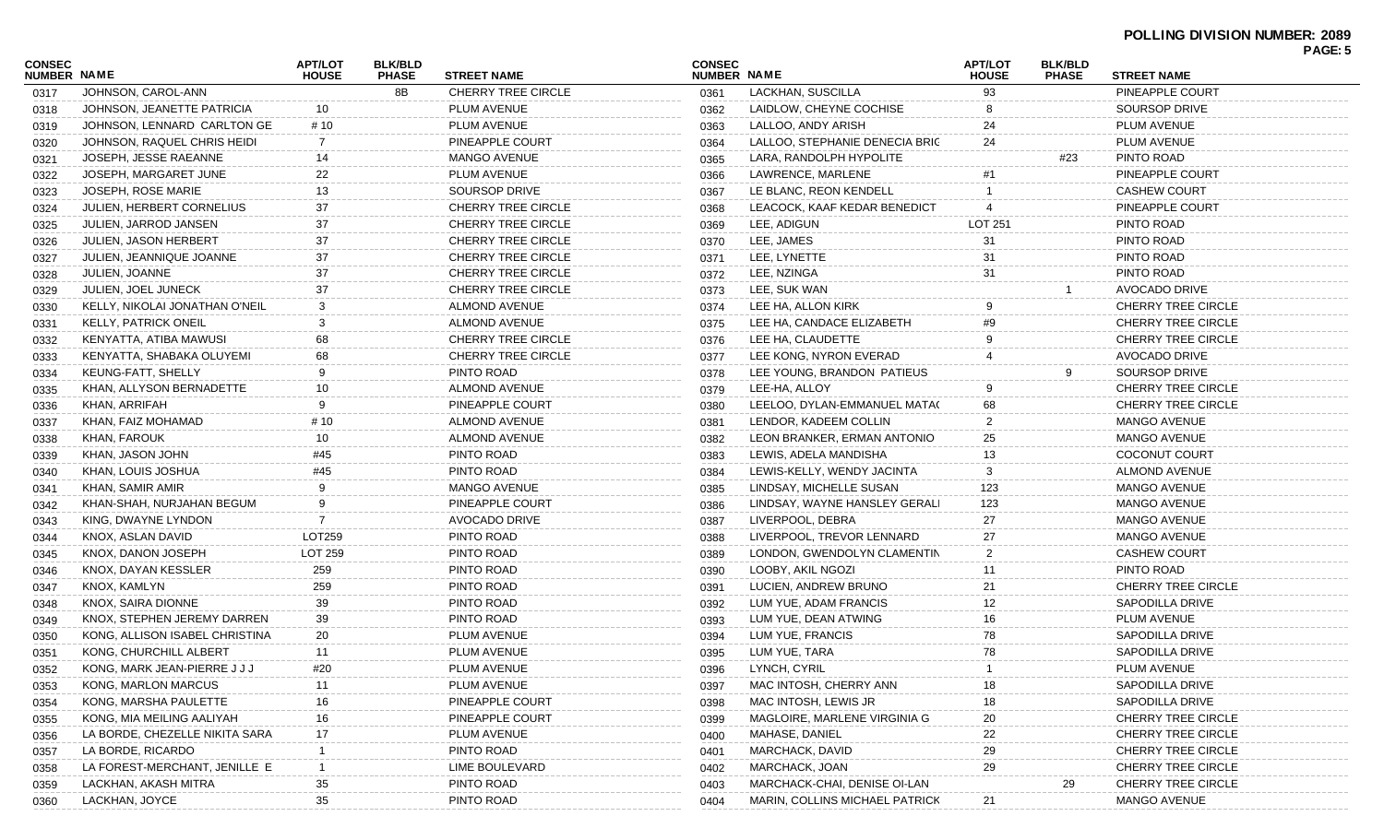|                              |                                |                                |                                |                           |                              |                                                |                                |                                |                           | PAGE: 5 |
|------------------------------|--------------------------------|--------------------------------|--------------------------------|---------------------------|------------------------------|------------------------------------------------|--------------------------------|--------------------------------|---------------------------|---------|
| <b>CONSEC</b><br>NUMBER NAME |                                | <b>APT/LOT</b><br><b>HOUSE</b> | <b>BLK/BLD</b><br><b>PHASE</b> | <b>STREET NAME</b>        | <b>CONSEC</b><br>NUMBER NAME |                                                | <b>APT/LOT</b><br><b>HOUSE</b> | <b>BLK/BLD</b><br><b>PHASE</b> | <b>STREET NAME</b>        |         |
| 0317                         | JOHNSON, CAROL-ANN             |                                | 8B                             | <b>CHERRY TREE CIRCLE</b> | 0361                         | LACKHAN, SUSCILLA                              | 93                             |                                | PINEAPPLE COURT           |         |
| 0318                         | JOHNSON, JEANETTE PATRICIA     | 10                             |                                | PLUM AVENUE               | 0362                         | LAIDLOW, CHEYNE COCHISE                        |                                |                                | <b>SOURSOP DRIVE</b>      |         |
| 0319                         | JOHNSON, LENNARD CARLTON GE    | # 10                           |                                | PLUM AVENUE               | 0363                         | LALLOO, ANDY ARISH                             | 24                             |                                | PLUM AVENUE               |         |
| 0320                         | JOHNSON, RAQUEL CHRIS HEIDI    | -7                             |                                | PINEAPPLE COURT           | 0364                         | LALLOO, STEPHANIE DENECIA BRIC                 | 24                             |                                | PLUM AVENUE               |         |
| 0321                         | JOSEPH, JESSE RAEANNE          | 14                             |                                | <b>MANGO AVENUE</b>       | 0365                         | LARA, RANDOLPH HYPOLITE                        |                                | #23                            | PINTO ROAD                |         |
| 0322                         | JOSEPH, MARGARET JUNE          | 22                             |                                | PLUM AVENUE               | 0366                         | LAWRENCE, MARLENE                              |                                |                                | PINEAPPLE COURT           |         |
| 0323                         | JOSEPH, ROSE MARIE             | 13                             |                                | SOURSOP DRIVE             | 0367                         | LE BLANC, REON KENDELL                         |                                |                                | <b>CASHEW COURT</b>       |         |
| 0324                         | JULIEN, HERBERT CORNELIUS      | 37                             |                                | <b>CHERRY TREE CIRCLE</b> | 0368                         | LEACOCK, KAAF KEDAR BENEDICT                   |                                |                                | PINEAPPLE COURT           |         |
| 0325                         | JULIEN, JARROD JANSEN          | 37                             |                                | <b>CHERRY TREE CIRCLE</b> | 0369                         | LEE, ADIGUN                                    | <b>LOT 251</b>                 |                                | PINTO ROAD                |         |
| 0326                         | JULIEN, JASON HERBERT          | 37                             |                                | <b>CHERRY TREE CIRCLE</b> | 0370                         | LEE, JAMES                                     | 31                             |                                | PINTO ROAD                |         |
| 0327                         | JULIEN, JEANNIQUE JOANNE       | 37                             |                                | <b>CHERRY TREE CIRCLE</b> | 0371                         | LEE, LYNETTE                                   | 31                             |                                | PINTO ROAD                |         |
| 0328                         | JULIEN, JOANNE                 | 37                             |                                | <b>CHERRY TREE CIRCLE</b> | 0372                         | LEE, NZINGA                                    | 31                             |                                | PINTO ROAD                |         |
| 0329                         | JULIEN, JOEL JUNECK            | 37                             |                                | <b>CHERRY TREE CIRCLE</b> | 0373                         | LEE, SUK WAN                                   |                                |                                | <b>AVOCADO DRIVE</b>      |         |
| 0330                         | KELLY, NIKOLAI JONATHAN O'NEIL | 3                              |                                | <b>ALMOND AVENUE</b>      | 0374                         | LEE HA, ALLON KIRK                             |                                |                                | <b>CHERRY TREE CIRCLE</b> |         |
| 0331                         | <b>KELLY, PATRICK ONEIL</b>    | 3                              |                                | <b>ALMOND AVENUE</b>      | 0375                         | LEE HA, CANDACE ELIZABETH                      | #9                             |                                | <b>CHERRY TREE CIRCLE</b> |         |
| 0332                         | KENYATTA, ATIBA MAWUSI         | 68                             |                                | <b>CHERRY TREE CIRCLE</b> | 0376                         | LEE HA, CLAUDETTE                              |                                |                                | <b>CHERRY TREE CIRCLE</b> |         |
| 0333                         | KENYATTA, SHABAKA OLUYEMI      | 68                             |                                | <b>CHERRY TREE CIRCLE</b> | 0377                         | LEE KONG, NYRON EVERAD                         |                                |                                | <b>AVOCADO DRIVE</b>      |         |
| 0334                         | KEUNG-FATT, SHELLY             | 9                              |                                | PINTO ROAD                | 0378                         | LEE YOUNG, BRANDON PATIEUS                     |                                |                                | <b>SOURSOP DRIVE</b>      |         |
| 0335                         | KHAN, ALLYSON BERNADETTE       | 10                             |                                | <b>ALMOND AVENUE</b>      | 0379                         | LEE-HA, ALLOY                                  |                                |                                | <b>CHERRY TREE CIRCLE</b> |         |
| 0336                         | KHAN, ARRIFAH                  | -9                             |                                | PINEAPPLE COURT           | 0380                         | LEELOO, DYLAN-EMMANUEL MATA(                   | 68                             |                                | CHERRY TREE CIRCLE        |         |
| 0337                         | KHAN, FAIZ MOHAMAD             | # 10                           |                                | <b>ALMOND AVENUE</b>      | 0381                         | LENDOR, KADEEM COLLIN                          | 2                              |                                | <b>MANGO AVENUE</b>       |         |
| 0338                         | KHAN, FAROUK                   | 10                             |                                | <b>ALMOND AVENUE</b>      | 0382                         | LEON BRANKER, ERMAN ANTONIO                    | 25                             |                                | <b>MANGO AVENUE</b>       |         |
| 0339                         | KHAN, JASON JOHN               | #45                            |                                | PINTO ROAD                | 0383                         | LEWIS, ADELA MANDISHA                          | 13                             |                                | <b>COCONUT COURT</b>      |         |
| 0340                         | KHAN, LOUIS JOSHUA             | #45                            |                                | PINTO ROAD                | 0384                         | LEWIS-KELLY, WENDY JACINTA                     | 3                              |                                | <b>ALMOND AVENUE</b>      |         |
| 0341                         | KHAN, SAMIR AMIR               | 9                              |                                | <b>MANGO AVENUE</b>       | 0385                         | LINDSAY, MICHELLE SUSAN                        | 123                            |                                | <b>MANGO AVENUE</b>       |         |
| 0342                         | KHAN-SHAH, NURJAHAN BEGUM      | 9                              |                                | PINEAPPLE COURT           | 0386                         | LINDSAY, WAYNE HANSLEY GERALI                  | 123                            |                                | <b>MANGO AVENUE</b>       |         |
| 0343                         | KING, DWAYNE LYNDON            |                                |                                | <b>AVOCADO DRIVE</b>      | 0387                         | LIVERPOOL, DEBRA                               | 27                             |                                | <b>MANGO AVENUE</b>       |         |
| 0344                         | KNOX, ASLAN DAVID              | LOT259                         |                                | PINTO ROAD                | 0388                         | LIVERPOOL, TREVOR LENNARD                      | 27                             |                                | <b>MANGO AVENUE</b>       |         |
| 0345                         | KNOX, DANON JOSEPH             | LOT 259                        |                                | PINTO ROAD                | 0389                         | LONDON, GWENDOLYN CLAMENTIN                    | $\overline{2}$                 |                                | <b>CASHEW COURT</b>       |         |
| 0346                         | KNOX, DAYAN KESSLER            | 259                            |                                | PINTO ROAD                | 0390                         | LOOBY, AKIL NGOZI                              | 11                             |                                | PINTO ROAD                |         |
| 0347                         | KNOX, KAMLYN                   | 259                            |                                | PINTO ROAD                | 0391                         | LUCIEN, ANDREW BRUNO                           | 21                             |                                | CHERRY TREE CIRCLE        |         |
| 0348                         | KNOX, SAIRA DIONNE             | 39                             |                                | PINTO ROAD                | 0392                         | LUM YUE, ADAM FRANCIS                          | 12                             |                                | SAPODILLA DRIVE           |         |
| 0349                         | KNOX, STEPHEN JEREMY DARREN    | 39                             |                                | PINTO ROAD                | 0393                         | LUM YUE, DEAN ATWING                           | 16                             |                                | PLUM AVENUE               |         |
|                              | KONG, ALLISON ISABEL CHRISTINA | 20                             |                                | PLUM AVENUE               |                              | LUM YUE, FRANCIS                               |                                |                                | SAPODILLA DRIVE           |         |
| 0350                         | KONG, CHURCHILL ALBERT         | 11                             |                                | PLUM AVENUE               | 0394                         | LUM YUE, TARA                                  | 78                             |                                | SAPODILLA DRIVE           |         |
| 0351                         |                                |                                |                                |                           | 0395                         | LYNCH, CYRIL                                   |                                |                                |                           |         |
| 0352                         | KONG, MARK JEAN-PIERRE JJJ     | #20                            |                                | PLUM AVENUE               | 0396                         |                                                |                                |                                | PLUM AVENUE               |         |
| 0353                         | KONG, MARLON MARCUS            | 11                             |                                | PLUM AVENUE               | 0397                         | MAC INTOSH, CHERRY ANN<br>MAC INTOSH, LEWIS JR |                                |                                | <b>SAPODILLA DRIVE</b>    |         |
| 0354                         | KONG, MARSHA PAULETTE          | 16                             |                                | PINEAPPLE COURT           | 0398                         |                                                | 18                             |                                | <b>SAPODILLA DRIVE</b>    |         |
| 0355                         | KONG, MIA MEILING AALIYAH      | 16                             |                                | PINEAPPLE COURT           | 0399                         | MAGLOIRE, MARLENE VIRGINIA G                   | 20                             |                                | <b>CHERRY TREE CIRCLE</b> |         |
| 0356                         | LA BORDE, CHEZELLE NIKITA SARA | 17                             |                                | PLUM AVENUE               | 0400                         | MAHASE, DANIEL                                 | 22                             |                                | CHERRY TREE CIRCLE        |         |
| 0357                         | LA BORDE, RICARDO              |                                |                                | PINTO ROAD                | 0401                         | MARCHACK, DAVID                                | 29                             |                                | <b>CHERRY TREE CIRCLE</b> |         |
| 0358                         | LA FOREST-MERCHANT, JENILLE E  |                                |                                | LIME BOULEVARD            | 0402                         | MARCHACK, JOAN                                 | 29                             |                                | <b>CHERRY TREE CIRCLE</b> |         |
| 0359                         | LACKHAN, AKASH MITRA           | 35                             |                                | PINTO ROAD                | 0403                         | MARCHACK-CHAI, DENISE OI-LAN                   |                                | 29                             | CHERRY TREE CIRCLE        |         |
| 0360                         | LACKHAN, JOYCE                 | 35                             |                                | PINTO ROAD                | 0404                         | MARIN, COLLINS MICHAEL PATRICK                 | 21                             |                                | <b>MANGO AVENUE</b>       |         |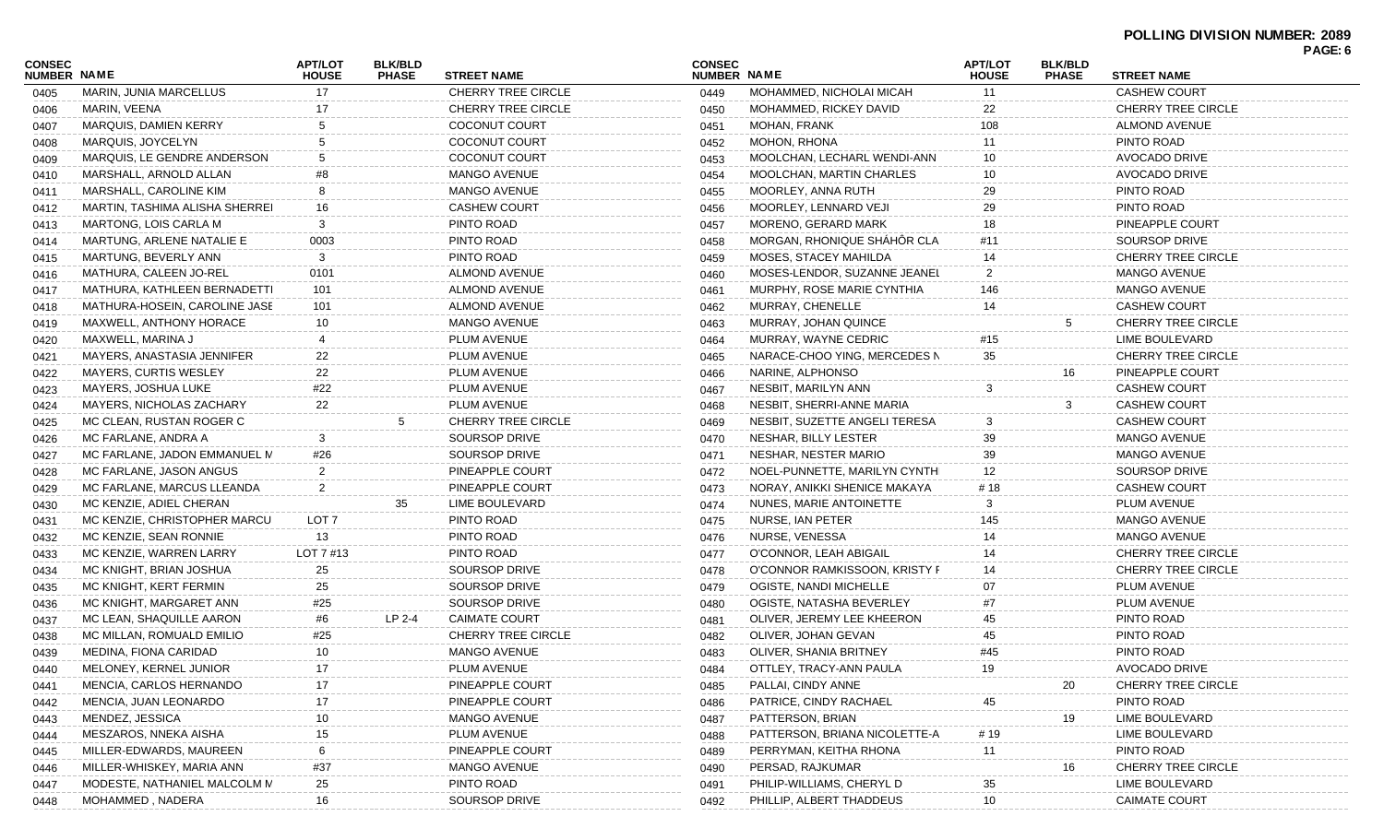| <b>CONSEC</b><br>NUMBER NAME |                                | <b>APT/LOT</b><br><b>HOUSE</b> | <b>BLK/BLD</b><br><b>PHASE</b> | <b>STREET NAME</b>        | <b>CONSEC</b><br><b>NUMBER NAME</b> |                               | <b>APT/LOT</b><br><b>HOUSE</b> | <b>BLK/BLD</b><br><b>PHASE</b> | <b>STREET NAME</b>        | PAGE: 6 |
|------------------------------|--------------------------------|--------------------------------|--------------------------------|---------------------------|-------------------------------------|-------------------------------|--------------------------------|--------------------------------|---------------------------|---------|
| 0405                         | MARIN, JUNIA MARCELLUS         | 17                             |                                | <b>CHERRY TREE CIRCLE</b> | 0449                                | MOHAMMED, NICHOLAI MICAH      | 11                             |                                | <b>CASHEW COURT</b>       |         |
| 0406                         | MARIN, VEENA                   | 17                             |                                | <b>CHERRY TREE CIRCLE</b> | 0450                                | MOHAMMED, RICKEY DAVID        | 22                             |                                | <b>CHERRY TREE CIRCLE</b> |         |
| 0407                         | <b>MARQUIS, DAMIEN KERRY</b>   |                                |                                | <b>COCONUT COURT</b>      | 0451                                | <b>MOHAN, FRANK</b>           | 108                            |                                | <b>ALMOND AVENUE</b>      |         |
| 0408                         | MARQUIS, JOYCELYN              |                                |                                | COCONUT COURT             | 0452                                | MOHON, RHONA                  | 11                             |                                | PINTO ROAD                |         |
| 0409                         | MARQUIS, LE GENDRE ANDERSON    | 5                              |                                | <b>COCONUT COURT</b>      | 0453                                | MOOLCHAN, LECHARL WENDI-ANN   | 10                             |                                | <b>AVOCADO DRIVE</b>      |         |
| 0410                         | MARSHALL, ARNOLD ALLAN         | #8                             |                                | <b>MANGO AVENUE</b>       | 0454                                | MOOLCHAN, MARTIN CHARLES      | 10                             |                                | AVOCADO DRIVE             |         |
| 0411                         | MARSHALL, CAROLINE KIM         | 8                              |                                | <b>MANGO AVENUE</b>       | 0455                                | MOORLEY, ANNA RUTH            | 29                             |                                | PINTO ROAD                |         |
| 0412                         | MARTIN, TASHIMA ALISHA SHERREI | 16                             |                                | <b>CASHEW COURT</b>       | 0456                                | MOORLEY, LENNARD VEJI         | 29                             |                                | PINTO ROAD                |         |
| 0413                         | MARTONG, LOIS CARLA M          | 3                              |                                | PINTO ROAD                | 0457                                | <b>MORENO, GERARD MARK</b>    | 18                             |                                | PINEAPPLE COURT           |         |
| 0414                         | MARTUNG, ARLENE NATALIE E      | 0003                           |                                | PINTO ROAD                | 0458                                | MORGAN, RHONIQUE SHÁHÔR CLA   | #11                            |                                | SOURSOP DRIVE             |         |
| 0415                         | MARTUNG, BEVERLY ANN           | 3                              |                                | PINTO ROAD                | 0459                                | <b>MOSES, STACEY MAHILDA</b>  |                                |                                | <b>CHERRY TREE CIRCLE</b> |         |
| 0416                         | MATHURA, CALEEN JO-REL         | 0101                           |                                | ALMOND AVENUE             | 0460                                | MOSES-LENDOR, SUZANNE JEANEL  | 2                              |                                | <b>MANGO AVENUE</b>       |         |
| 0417                         | MATHURA, KATHLEEN BERNADETTI   | 101                            |                                | ALMOND AVENUE             | 0461                                | MURPHY, ROSE MARIE CYNTHIA    | 146                            |                                | <b>MANGO AVENUE</b>       |         |
| 0418                         | MATHURA-HOSEIN, CAROLINE JASE  | 101                            |                                | <b>ALMOND AVENUE</b>      | 0462                                | MURRAY, CHENELLE              | 14                             |                                | <b>CASHEW COURT</b>       |         |
| 0419                         | MAXWELL, ANTHONY HORACE        | 10                             |                                | <b>MANGO AVENUE</b>       | 0463                                | MURRAY, JOHAN QUINCE          |                                | 5                              | <b>CHERRY TREE CIRCLE</b> |         |
| 0420                         | MAXWELL, MARINA J              |                                |                                | PLUM AVENUE               | 0464                                | MURRAY, WAYNE CEDRIC          | #15                            |                                | LIME BOULEVARD            |         |
| 0421                         | MAYERS, ANASTASIA JENNIFER     | 22                             |                                | PLUM AVENUE               | 0465                                | NARACE-CHOO YING, MERCEDES N  | 35                             |                                | <b>CHERRY TREE CIRCLE</b> |         |
| 0422                         | <b>MAYERS, CURTIS WESLEY</b>   | 22                             |                                | PLUM AVENUE               | 0466                                | NARINE, ALPHONSO              |                                | 16                             | PINEAPPLE COURT           |         |
| 0423                         | MAYERS, JOSHUA LUKE            | #22                            |                                | PLUM AVENUE               | 0467                                | NESBIT, MARILYN ANN           | 3                              |                                | <b>CASHEW COURT</b>       |         |
| 0424                         | MAYERS, NICHOLAS ZACHARY       | 22                             |                                | PLUM AVENUE               | 0468                                | NESBIT, SHERRI-ANNE MARIA     |                                | 3                              | <b>CASHEW COURT</b>       |         |
| 0425                         | MC CLEAN, RUSTAN ROGER C       |                                | 5                              | <b>CHERRY TREE CIRCLE</b> | 0469                                | NESBIT, SUZETTE ANGELI TERESA | 3                              |                                | <b>CASHEW COURT</b>       |         |
| 0426                         | MC FARLANE, ANDRA A            | 3                              |                                | SOURSOP DRIVE             | 0470                                | NESHAR, BILLY LESTER          | 39                             |                                | <b>MANGO AVENUE</b>       |         |
| 0427                         | MC FARLANE, JADON EMMANUEL M   | #26                            |                                | SOURSOP DRIVE             | 0471                                | NESHAR, NESTER MARIO          | 39                             |                                | <b>MANGO AVENUE</b>       |         |
| 0428                         | MC FARLANE, JASON ANGUS        | $\overline{2}$                 |                                | PINEAPPLE COURT           | 0472                                | NOEL-PUNNETTE, MARILYN CYNTHI | 12                             |                                | SOURSOP DRIVE             |         |
| 0429                         | MC FARLANE, MARCUS LLEANDA     | 2                              |                                | PINEAPPLE COURT           | 0473                                | NORAY, ANIKKI SHENICE MAKAYA  | # 18                           |                                | <b>CASHEW COURT</b>       |         |
| 0430                         | MC KENZIE, ADIEL CHERAN        |                                | 35                             | LIME BOULEVARD            | 0474                                | NUNES, MARIE ANTOINETTE       | 3                              |                                | PLUM AVENUE               |         |
| 0431                         | MC KENZIE, CHRISTOPHER MARCU   | LOT 7                          |                                | PINTO ROAD                | 0475                                | NURSE, IAN PETER              | 145                            |                                | <b>MANGO AVENUE</b>       |         |
| 0432                         | MC KENZIE, SEAN RONNIE         | 13                             |                                | PINTO ROAD                | 0476                                | NURSE, VENESSA                |                                |                                | <b>MANGO AVENUE</b>       |         |
| 0433                         | MC KENZIE, WARREN LARRY        | LOT 7 #13                      |                                | PINTO ROAD                | 0477                                | O'CONNOR, LEAH ABIGAIL        |                                |                                | <b>CHERRY TREE CIRCLE</b> |         |
| 0434                         | MC KNIGHT, BRIAN JOSHUA        | 25                             |                                | SOURSOP DRIVE             | 0478                                | O'CONNOR RAMKISSOON, KRISTY F |                                |                                | <b>CHERRY TREE CIRCLE</b> |         |
| 0435                         | MC KNIGHT, KERT FERMIN         | 25                             |                                | SOURSOP DRIVE             | 0479                                | OGISTE, NANDI MICHELLE        | 07                             |                                | PLUM AVENUE               |         |
| 0436                         | MC KNIGHT, MARGARET ANN        | #25                            |                                | SOURSOP DRIVE             | 0480                                | OGISTE, NATASHA BEVERLEY      | #7                             |                                | PLUM AVENUE               |         |
| 0437                         | MC LEAN, SHAQUILLE AARON       | #6                             | LP 2-4                         | <b>CAIMATE COURT</b>      | 0481                                | OLIVER, JEREMY LEE KHEERON    | 45                             |                                | PINTO ROAD                |         |
| 0438                         | MC MILLAN, ROMUALD EMILIO      | #25                            |                                | CHERRY TREE CIRCLE        | 0482                                | OLIVER, JOHAN GEVAN           | 45                             |                                | PINTO ROAD                |         |
| 0439                         | MEDINA, FIONA CARIDAD          | 10                             |                                | <b>MANGO AVENUE</b>       | 0483                                | OLIVER, SHANIA BRITNEY        | #45                            |                                | PINTO ROAD                |         |
| 0440                         | MELONEY, KERNEL JUNIOR         | 17                             |                                | PLUM AVENUE               | 0484                                | OTTLEY, TRACY-ANN PAULA       | 19                             |                                | <b>AVOCADO DRIVE</b>      |         |
| 0441                         | MENCIA, CARLOS HERNANDO        | 17                             |                                | PINEAPPLE COURT           | 0485                                | PALLAI, CINDY ANNE            |                                | 20                             | <b>CHERRY TREE CIRCLE</b> |         |
| 0442                         | MENCIA, JUAN LEONARDO          | 17                             |                                | PINEAPPLE COURT           | 0486                                | PATRICE, CINDY RACHAEL        | 45                             |                                | PINTO ROAD                |         |
| 0443                         | MENDEZ, JESSICA                | 10                             |                                | <b>MANGO AVENUE</b>       | 0487                                | PATTERSON, BRIAN              |                                | 19                             | LIME BOULEVARD            |         |
| 0444                         | MESZAROS, NNEKA AISHA          | 15                             |                                | PLUM AVENUE               | 0488                                | PATTERSON, BRIANA NICOLETTE-A | # 19                           |                                | LIME BOULEVARD            |         |
| 0445                         | MILLER-EDWARDS, MAUREEN        | 6                              |                                | PINEAPPLE COURT           | 0489                                | PERRYMAN, KEITHA RHONA        | 11                             |                                | PINTO ROAD                |         |
| 0446                         | MILLER-WHISKEY, MARIA ANN      | #37                            |                                | MANGO AVENUE              | 0490                                | PERSAD, RAJKUMAR              |                                | 16                             | <b>CHERRY TREE CIRCLE</b> |         |
| 0447                         | MODESTE, NATHANIEL MALCOLM M   | 25                             |                                | PINTO ROAD                | 0491                                | PHILIP-WILLIAMS, CHERYL D     | 35                             |                                | LIME BOULEVARD            |         |
| 0448                         | MOHAMMED, NADERA               | 16                             |                                | SOURSOP DRIVE             | 0492                                | PHILLIP, ALBERT THADDEUS      | 10                             |                                | <b>CAIMATE COURT</b>      |         |
|                              |                                |                                |                                |                           |                                     |                               |                                |                                |                           |         |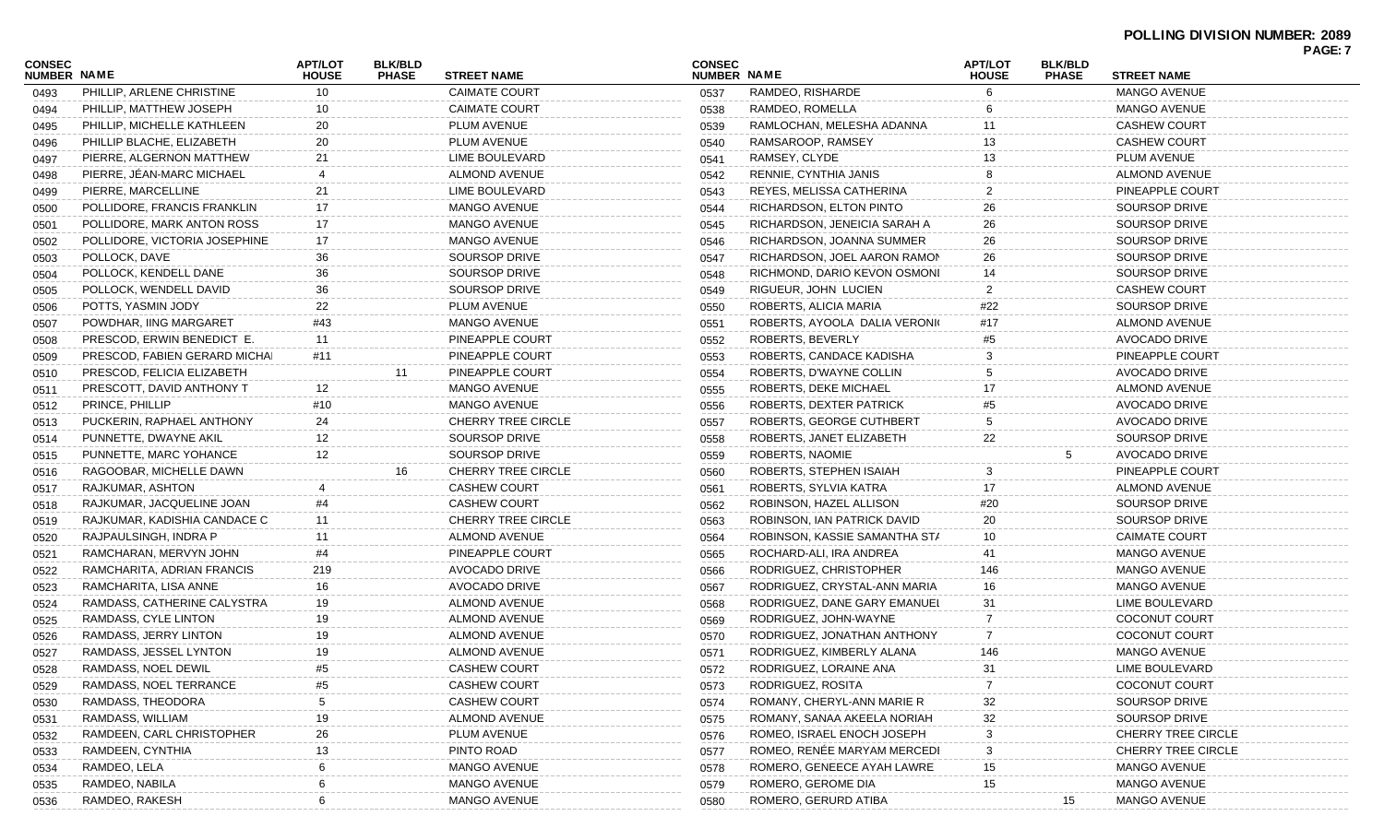|                              |                               |                                |                                |                           |                              |                               |                                |                                |                           | PAGE: 7 |
|------------------------------|-------------------------------|--------------------------------|--------------------------------|---------------------------|------------------------------|-------------------------------|--------------------------------|--------------------------------|---------------------------|---------|
| CONSEC<br><b>NUMBER NAME</b> |                               | <b>APT/LOT</b><br><b>HOUSE</b> | <b>BLK/BLD</b><br><b>PHASE</b> | <b>STREET NAME</b>        | <b>CONSEC</b><br>NUMBER NAME |                               | <b>APT/LOT</b><br><b>HOUSE</b> | <b>BLK/BLD</b><br><b>PHASE</b> | <b>STREET NAME</b>        |         |
| 0493                         | PHILLIP, ARLENE CHRISTINE     | 10                             |                                | <b>CAIMATE COURT</b>      | 0537                         | RAMDEO, RISHARDE              |                                |                                | <b>MANGO AVENUE</b>       |         |
| 0494                         | PHILLIP, MATTHEW JOSEPH       | 10                             |                                | <b>CAIMATE COURT</b>      | 0538                         | RAMDEO, ROMELLA               |                                |                                | <b>MANGO AVENUE</b>       |         |
| 0495                         | PHILLIP, MICHELLE KATHLEEN    | 20                             |                                | PLUM AVENUE               | 0539                         | RAMLOCHAN, MELESHA ADANNA     | 11                             |                                | <b>CASHEW COURT</b>       |         |
| 0496                         | PHILLIP BLACHE, ELIZABETH     | 20                             |                                | PLUM AVENUE               | 0540                         | RAMSAROOP, RAMSEY             | 13                             |                                | <b>CASHEW COURT</b>       |         |
| 0497                         | PIERRE, ALGERNON MATTHEW      | 21                             |                                | LIME BOULEVARD            | 0541                         | RAMSEY, CLYDE                 | 13                             |                                | PLUM AVENUE               |         |
| 0498                         | PIERRE, JÉAN-MARC MICHAEL     |                                |                                | ALMOND AVENUE             | 0542                         | RENNIE, CYNTHIA JANIS         |                                |                                | <b>ALMOND AVENUE</b>      |         |
| 0499                         | PIERRE, MARCELLINE            | 21                             |                                | LIME BOULEVARD            | 0543                         | REYES, MELISSA CATHERINA      | 2                              |                                | PINEAPPLE COURT           |         |
| 0500                         | POLLIDORE, FRANCIS FRANKLIN   | 17                             |                                | <b>MANGO AVENUE</b>       | 0544                         | RICHARDSON, ELTON PINTO       | 26                             |                                | SOURSOP DRIVE             |         |
| 0501                         | POLLIDORE, MARK ANTON ROSS    | 17                             |                                | MANGO AVENUE              | 0545                         | RICHARDSON, JENEICIA SARAH A  | 26                             |                                | SOURSOP DRIVE             |         |
| 0502                         | POLLIDORE, VICTORIA JOSEPHINE | 17                             |                                | <b>MANGO AVENUE</b>       | 0546                         | RICHARDSON, JOANNA SUMMER     | 26                             |                                | <b>SOURSOP DRIVE</b>      |         |
| 0503                         | POLLOCK, DAVE                 | 36                             |                                | SOURSOP DRIVE             | 0547                         | RICHARDSON, JOEL AARON RAMON  | 26                             |                                | <b>SOURSOP DRIVE</b>      |         |
| 0504                         | POLLOCK, KENDELL DANE         | 36                             |                                | SOURSOP DRIVE             | 0548                         | RICHMOND, DARIO KEVON OSMONI  | 14                             |                                | <b>SOURSOP DRIVE</b>      |         |
| 0505                         | POLLOCK, WENDELL DAVID        | 36                             |                                | <b>SOURSOP DRIVE</b>      | 0549                         | RIGUEUR, JOHN LUCIEN          | $\overline{2}$                 |                                | <b>CASHEW COURT</b>       |         |
| 0506                         | POTTS, YASMIN JODY            | 22                             |                                | PLUM AVENUE               | 0550                         | ROBERTS, ALICIA MARIA         | #22                            |                                | <b>SOURSOP DRIVE</b>      |         |
| 0507                         | POWDHAR, IING MARGARET        | #43                            |                                | MANGO AVENUE              | 0551                         | ROBERTS, AYOOLA DALIA VERONIO | #17                            |                                | <b>ALMOND AVENUE</b>      |         |
| 0508                         | PRESCOD, ERWIN BENEDICT E.    | 11                             |                                | PINEAPPLE COURT           | 0552                         | ROBERTS, BEVERLY              | #5                             |                                | AVOCADO DRIVE             |         |
| 0509                         | PRESCOD, FABIEN GERARD MICHAI | #11                            |                                | PINEAPPLE COURT           | 0553                         | ROBERTS, CANDACE KADISHA      | 3                              |                                | PINEAPPLE COURT           |         |
| 0510                         | PRESCOD, FELICIA ELIZABETH    |                                | 11                             | PINEAPPLE COURT           | 0554                         | ROBERTS, D'WAYNE COLLIN       |                                |                                | <b>AVOCADO DRIVE</b>      |         |
| 0511                         | PRESCOTT, DAVID ANTHONY T     | 12                             |                                | <b>MANGO AVENUE</b>       | 0555                         | ROBERTS, DEKE MICHAEL         | 17                             |                                | <b>ALMOND AVENUE</b>      |         |
| 0512                         | PRINCE, PHILLIP               | #10                            |                                | <b>MANGO AVENUE</b>       | 0556                         | ROBERTS, DEXTER PATRICK       | #5                             |                                | AVOCADO DRIVE             |         |
| 0513                         | PUCKERIN, RAPHAEL ANTHONY     | 24                             |                                | <b>CHERRY TREE CIRCLE</b> | 0557                         | ROBERTS, GEORGE CUTHBERT      |                                |                                | AVOCADO DRIVE             |         |
| 0514                         | PUNNETTE, DWAYNE AKIL         | 12                             |                                | SOURSOP DRIVE             | 0558                         | ROBERTS, JANET ELIZABETH      | 22                             |                                | <b>SOURSOP DRIVE</b>      |         |
| 0515                         | PUNNETTE, MARC YOHANCE        | 12                             |                                | <b>SOURSOP DRIVE</b>      | 0559                         | ROBERTS, NAOMIE               |                                | 5                              | AVOCADO DRIVE             |         |
| 0516                         | RAGOOBAR, MICHELLE DAWN       |                                | 16                             | <b>CHERRY TREE CIRCLE</b> | 0560                         | ROBERTS, STEPHEN ISAIAH       |                                |                                | PINEAPPLE COURT           |         |
| 0517                         | RAJKUMAR, ASHTON              |                                |                                | <b>CASHEW COURT</b>       | 0561                         | ROBERTS, SYLVIA KATRA         | 17                             |                                | <b>ALMOND AVENUE</b>      |         |
| 0518                         | RAJKUMAR, JACQUELINE JOAN     | #4                             |                                | <b>CASHEW COURT</b>       | 0562                         | ROBINSON, HAZEL ALLISON       | #20                            |                                | <b>SOURSOP DRIVE</b>      |         |
| 0519                         | RAJKUMAR, KADISHIA CANDACE C  | 11                             |                                | <b>CHERRY TREE CIRCLE</b> | 0563                         | ROBINSON, IAN PATRICK DAVID   | 20                             |                                | <b>SOURSOP DRIVE</b>      |         |
| 0520                         | RAJPAULSINGH, INDRA P         | 11                             |                                | ALMOND AVENUE             | 0564                         | ROBINSON, KASSIE SAMANTHA STA | 10                             |                                | <b>CAIMATE COURT</b>      |         |
| 0521                         | RAMCHARAN, MERVYN JOHN        | #4                             |                                | PINEAPPLE COURT           | 0565                         | ROCHARD-ALI, IRA ANDREA       | 41                             |                                | MANGO AVENUE              |         |
| 0522                         | RAMCHARITA, ADRIAN FRANCIS    | 219                            |                                | AVOCADO DRIVE             | 0566                         | RODRIGUEZ, CHRISTOPHER        | 146                            |                                | <b>MANGO AVENUE</b>       |         |
| 0523                         | RAMCHARITA, LISA ANNE         | 16                             |                                | AVOCADO DRIVE             | 0567                         | RODRIGUEZ, CRYSTAL-ANN MARIA  | 16                             |                                | <b>MANGO AVENUE</b>       |         |
| 0524                         | RAMDASS, CATHERINE CALYSTRA   | 19                             |                                | <b>ALMOND AVENUE</b>      | 0568                         | RODRIGUEZ, DANE GARY EMANUEL  | 31                             |                                | LIME BOULEVARD            |         |
|                              | RAMDASS, CYLE LINTON          | 19                             |                                | <b>ALMOND AVENUE</b>      | 0569                         | RODRIGUEZ, JOHN-WAYNE         | -7                             |                                | <b>COCONUT COURT</b>      |         |
| 0525                         | RAMDASS, JERRY LINTON         | 19                             |                                | ALMOND AVENUE             | 0570                         | RODRIGUEZ, JONATHAN ANTHONY   | -7                             |                                | <b>COCONUT COURT</b>      |         |
| 0526                         | RAMDASS, JESSEL LYNTON        | 19                             |                                | ALMOND AVENUE             | 0571                         | RODRIGUEZ, KIMBERLY ALANA     | 146                            |                                | <b>MANGO AVENUE</b>       |         |
| 0527                         | RAMDASS, NOEL DEWIL           | #5                             |                                | <b>CASHEW COURT</b>       |                              | RODRIGUEZ, LORAINE ANA        | 31                             |                                | LIME BOULEVARD            |         |
| 0528                         | RAMDASS, NOEL TERRANCE        |                                |                                | <b>CASHEW COURT</b>       | 0572                         | RODRIGUEZ, ROSITA             |                                |                                | <b>COCONUT COURT</b>      |         |
| 0529                         |                               |                                |                                |                           | 0573                         |                               |                                |                                |                           |         |
| 0530                         | RAMDASS, THEODORA             |                                |                                | CASHEW COURT              | 0574                         | ROMANY, CHERYL-ANN MARIE R    | 32                             |                                | SOURSOP DRIVE             |         |
| 0531                         | RAMDASS, WILLIAM              | 19                             |                                | ALMOND AVENUE             | 0575                         | ROMANY, SANAA AKEELA NORIAH   | 32                             |                                | SOURSOP DRIVE             |         |
| 0532                         | RAMDEEN, CARL CHRISTOPHER     | 26                             |                                | PLUM AVENUE               | 0576                         | ROMEO, ISRAEL ENOCH JOSEPH    |                                |                                | <b>CHERRY TREE CIRCLE</b> |         |
| 0533                         | RAMDEEN, CYNTHIA              | 13                             |                                | PINTO ROAD                | 0577                         | ROMEO, RENÉE MARYAM MERCEDI   |                                |                                | <b>CHERRY TREE CIRCLE</b> |         |
| 0534                         | RAMDEO, LELA                  |                                |                                | MANGO AVENUE              | 0578                         | ROMERO, GENEECE AYAH LAWRE    | 15                             |                                | <b>MANGO AVENUE</b>       |         |
| 0535                         | RAMDEO, NABILA                |                                |                                | MANGO AVENUE              | 0579                         | ROMERO, GEROME DIA            | 15                             |                                | <b>MANGO AVENUE</b>       |         |
| 0536                         | RAMDEO, RAKESH                |                                |                                | MANGO AVENUE              | 0580                         | ROMERO, GERURD ATIBA          |                                | 15                             | <b>MANGO AVENUE</b>       |         |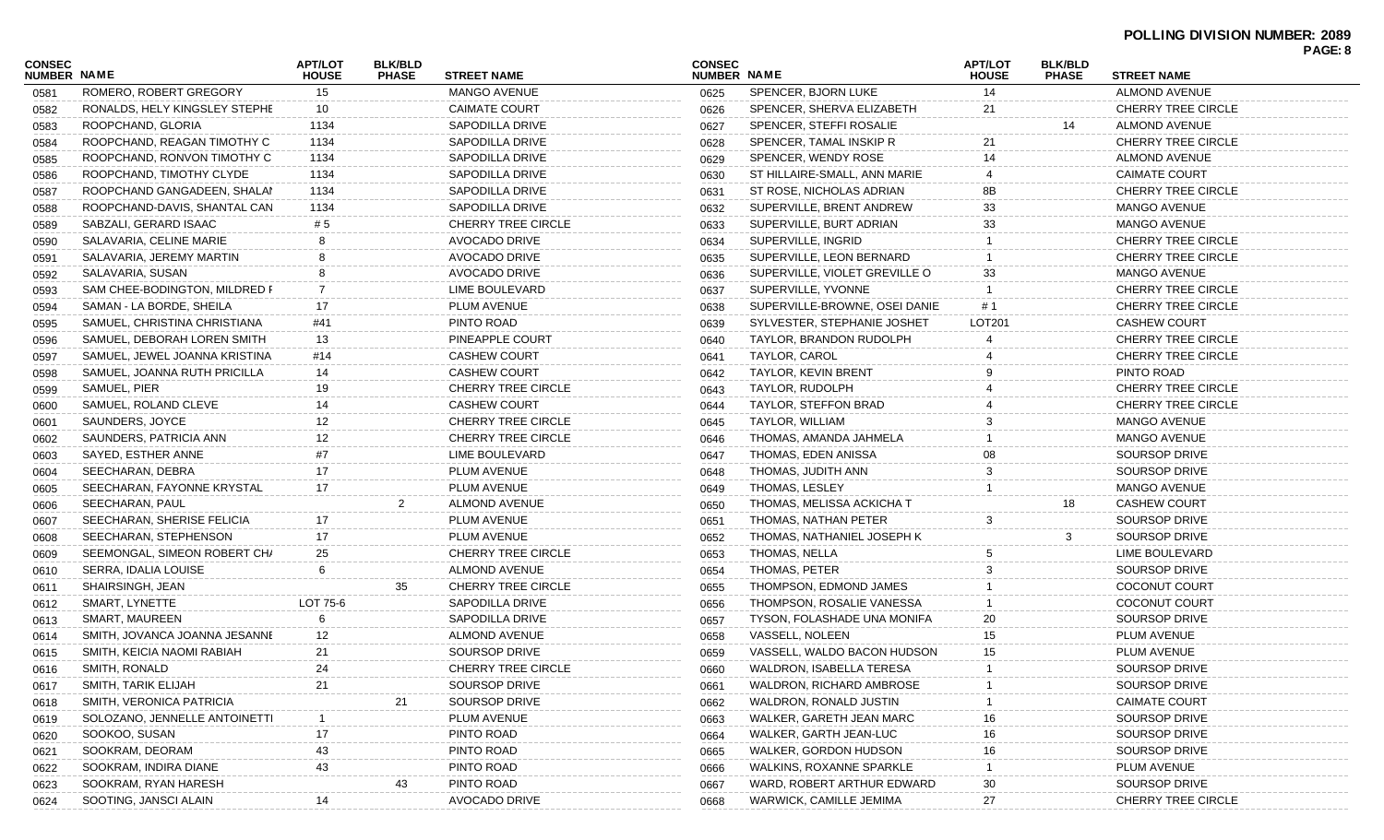|                                     |                               |                                |                                |                           |                              |                               |                                |                                |                           | . nul. v |
|-------------------------------------|-------------------------------|--------------------------------|--------------------------------|---------------------------|------------------------------|-------------------------------|--------------------------------|--------------------------------|---------------------------|----------|
| <b>CONSEC</b><br><b>NUMBER NAME</b> |                               | <b>APT/LOT</b><br><b>HOUSE</b> | <b>BLK/BLD</b><br><b>PHASE</b> | <b>STREET NAME</b>        | <b>CONSEC</b><br>NUMBER NAME |                               | <b>APT/LOT</b><br><b>HOUSE</b> | <b>BLK/BLD</b><br><b>PHASE</b> | <b>STREET NAME</b>        |          |
| 0581                                | ROMERO, ROBERT GREGORY        | 15                             |                                | <b>MANGO AVENUE</b>       | 0625                         | SPENCER, BJORN LUKE           | 14                             |                                | <b>ALMOND AVENUE</b>      |          |
| 0582                                | RONALDS, HELY KINGSLEY STEPHE | 10                             |                                | <b>CAIMATE COURT</b>      | 0626                         | SPENCER, SHERVA ELIZABETH     | 21                             |                                | <b>CHERRY TREE CIRCLE</b> |          |
| 0583                                | ROOPCHAND, GLORIA             | 1134                           |                                | SAPODILLA DRIVE           | 0627                         | SPENCER, STEFFI ROSALIE       |                                | 14                             | <b>ALMOND AVENUE</b>      |          |
| 0584                                | ROOPCHAND, REAGAN TIMOTHY C   | 1134                           |                                | SAPODILLA DRIVE           | 0628                         | SPENCER, TAMAL INSKIP R       | 21                             |                                | <b>CHERRY TREE CIRCLE</b> |          |
| 0585                                | ROOPCHAND, RONVON TIMOTHY C   | 1134                           |                                | SAPODILLA DRIVE           | 0629                         | SPENCER, WENDY ROSE           | 14                             |                                | <b>ALMOND AVENUE</b>      |          |
| 0586                                | ROOPCHAND, TIMOTHY CLYDE      | 1134                           |                                | SAPODILLA DRIVE           | 0630                         | ST HILLAIRE-SMALL, ANN MARIE  |                                |                                | <b>CAIMATE COURT</b>      |          |
| 0587                                | ROOPCHAND GANGADEEN, SHALAN   | 1134                           |                                | SAPODILLA DRIVE           | 0631                         | ST ROSE, NICHOLAS ADRIAN      | 8Β                             |                                | <b>CHERRY TREE CIRCLE</b> |          |
| 0588                                | ROOPCHAND-DAVIS, SHANTAL CAN  | 1134                           |                                | SAPODILLA DRIVE           | 0632                         | SUPERVILLE, BRENT ANDREW      | 33                             |                                | <b>MANGO AVENUE</b>       |          |
| 0589                                | SABZALI, GERARD ISAAC         | # 5                            |                                | <b>CHERRY TREE CIRCLE</b> | 0633                         | SUPERVILLE, BURT ADRIAN       | 33                             |                                | <b>MANGO AVENUE</b>       |          |
| 0590                                | SALAVARIA, CELINE MARIE       |                                |                                | <b>AVOCADO DRIVE</b>      | 0634                         | SUPERVILLE, INGRID            |                                |                                | <b>CHERRY TREE CIRCLE</b> |          |
| 0591                                | SALAVARIA, JEREMY MARTIN      |                                |                                | AVOCADO DRIVE             | 0635                         | SUPERVILLE, LEON BERNARD      |                                |                                | <b>CHERRY TREE CIRCLE</b> |          |
| 0592                                | SALAVARIA, SUSAN              | 8                              |                                | AVOCADO DRIVE             | 0636                         | SUPERVILLE, VIOLET GREVILLE O | 33                             |                                | MANGO AVENUE              |          |
| 0593                                | SAM CHEE-BODINGTON, MILDRED F | 7                              |                                | LIME BOULEVARD            | 0637                         | SUPERVILLE, YVONNE            |                                |                                | <b>CHERRY TREE CIRCLE</b> |          |
| 0594                                | SAMAN - LA BORDE, SHEILA      | 17                             |                                | PLUM AVENUE               | 0638                         | SUPERVILLE-BROWNE, OSEI DANIE | # 1                            |                                | <b>CHERRY TREE CIRCLE</b> |          |
| 0595                                | SAMUEL, CHRISTINA CHRISTIANA  | #41                            |                                | PINTO ROAD                | 0639                         | SYLVESTER, STEPHANIE JOSHET   | LOT201                         |                                | <b>CASHEW COURT</b>       |          |
| 0596                                | SAMUEL, DEBORAH LOREN SMITH   | 13                             |                                | PINEAPPLE COURT           | 0640                         | TAYLOR, BRANDON RUDOLPH       |                                |                                | <b>CHERRY TREE CIRCLE</b> |          |
| 0597                                | SAMUEL, JEWEL JOANNA KRISTINA | #14                            |                                | <b>CASHEW COURT</b>       | 0641                         | TAYLOR, CAROL                 |                                |                                | <b>CHERRY TREE CIRCLE</b> |          |
| 0598                                | SAMUEL, JOANNA RUTH PRICILLA  | 14                             |                                | <b>CASHEW COURT</b>       | 0642                         | <b>TAYLOR, KEVIN BRENT</b>    |                                |                                | PINTO ROAD                |          |
| 0599                                | SAMUEL, PIER                  | 19                             |                                | <b>CHERRY TREE CIRCLE</b> | 0643                         | TAYLOR, RUDOLPH               |                                |                                | <b>CHERRY TREE CIRCLE</b> |          |
| 0600                                | SAMUEL, ROLAND CLEVE          | 14                             |                                | <b>CASHEW COURT</b>       | 0644                         | TAYLOR, STEFFON BRAD          |                                |                                | <b>CHERRY TREE CIRCLE</b> |          |
| 0601                                | SAUNDERS, JOYCE               | 12                             |                                | <b>CHERRY TREE CIRCLE</b> | 0645                         | TAYLOR, WILLIAM               |                                |                                | <b>MANGO AVENUE</b>       |          |
| 0602                                | SAUNDERS, PATRICIA ANN        | 12                             |                                | <b>CHERRY TREE CIRCLE</b> | 0646                         | THOMAS, AMANDA JAHMELA        |                                |                                | <b>MANGO AVENUE</b>       |          |
| 0603                                | SAYED, ESTHER ANNE            | #7                             |                                | LIME BOULEVARD            | 0647                         | THOMAS, EDEN ANISSA           |                                |                                | SOURSOP DRIVE             |          |
| 0604                                | SEECHARAN, DEBRA              | 17                             |                                | PLUM AVENUE               | 0648                         | THOMAS, JUDITH ANN            |                                |                                | SOURSOP DRIVE             |          |
| 0605                                | SEECHARAN, FAYONNE KRYSTAL    | 17                             |                                | PLUM AVENUE               | 0649                         | THOMAS, LESLEY                |                                |                                | <b>MANGO AVENUE</b>       |          |
| 0606                                | SEECHARAN, PAUL               |                                | 2                              | ALMOND AVENUE             | 0650                         | THOMAS, MELISSA ACKICHA T     |                                | 18                             | <b>CASHEW COURT</b>       |          |
| 0607                                | SEECHARAN, SHERISE FELICIA    | 17                             |                                | PLUM AVENUE               | 0651                         | THOMAS, NATHAN PETER          |                                |                                | SOURSOP DRIVE             |          |
|                                     | SEECHARAN, STEPHENSON         | 17                             |                                | PLUM AVENUE               | 0652                         | THOMAS, NATHANIEL JOSEPH K    |                                |                                | SOURSOP DRIVE             |          |
| 0608                                | SEEMONGAL, SIMEON ROBERT CH/  | 25                             |                                | <b>CHERRY TREE CIRCLE</b> | 0653                         | THOMAS, NELLA                 |                                |                                | LIME BOULEVARD            |          |
| 0609                                | SERRA, IDALIA LOUISE          | 6                              |                                | ALMOND AVENUE             | 0654                         | THOMAS, PETER                 |                                |                                | SOURSOP DRIVE             |          |
| 0610                                | SHAIRSINGH, JEAN              |                                | 35                             | <b>CHERRY TREE CIRCLE</b> | 0655                         | THOMPSON, EDMOND JAMES        |                                |                                | COCONUT COURT             |          |
| 0611                                | SMART, LYNETTE                | LOT 75-6                       |                                | <b>SAPODILLA DRIVE</b>    | 0656                         | THOMPSON, ROSALIE VANESSA     |                                |                                | <b>COCONUT COURT</b>      |          |
| 0612                                |                               |                                |                                | SAPODILLA DRIVE           |                              | TYSON, FOLASHADE UNA MONIFA   |                                |                                | SOURSOP DRIVE             |          |
| 0613                                | SMART, MAUREEN                | 6                              |                                |                           | 0657                         | VASSELL, NOLEEN               | 20                             |                                |                           |          |
| 0614                                | SMITH, JOVANCA JOANNA JESANNE | 12                             |                                | ALMOND AVENUE             | 0658                         |                               | 15                             |                                | PLUM AVENUE               |          |
| 0615                                | SMITH, KEICIA NAOMI RABIAH    | 21                             |                                | SOURSOP DRIVE             | 0659                         | VASSELL, WALDO BACON HUDSON   | 15                             |                                | PLUM AVENUE               |          |
| 0616                                | SMITH, RONALD                 |                                |                                | CHERRY TREE CIRCLE        | 0660                         | WALDRON, ISABELLA TERESA      |                                |                                | SOURSOP DRIVE             |          |
| 0617                                | SMITH, TARIK ELIJAH           | 21                             |                                | SOURSOP DRIVE             | 0661                         | WALDRON, RICHARD AMBROSE      |                                |                                | SOURSOP DRIVE             |          |
| 0618                                | SMITH, VERONICA PATRICIA      |                                |                                | SOURSOP DRIVE             | 0662                         | WALDRON, RONALD JUSTIN        |                                |                                | <b>CAIMATE COURT</b>      |          |
| 0619                                | SOLOZANO, JENNELLE ANTOINETTI |                                |                                | PLUM AVENUE               | 0663                         | WALKER, GARETH JEAN MARC      | 16.                            |                                | SOURSOP DRIVE             |          |
| 0620                                | SOOKOO, SUSAN                 | 17                             |                                | PINTO ROAD                | 0664                         | WALKER, GARTH JEAN-LUC        | 16                             |                                | SOURSOP DRIVE             |          |
| 0621                                | SOOKRAM, DEORAM               | 43                             |                                | PINTO ROAD                | 0665                         | WALKER, GORDON HUDSON         | 16                             |                                | <b>SOURSOP DRIVE</b>      |          |
| 0622                                | SOOKRAM, INDIRA DIANE         | 43                             |                                | PINTO ROAD                | 0666                         | WALKINS, ROXANNE SPARKLE      |                                |                                | PLUM AVENUE               |          |
| 0623                                | SOOKRAM, RYAN HARESH          |                                | 43                             | PINTO ROAD                | 0667                         | WARD, ROBERT ARTHUR EDWARD    | 30                             |                                | SOURSOP DRIVE             |          |
| 0624                                | SOOTING, JANSCI ALAIN         | 14                             |                                | AVOCADO DRIVE             | 0668                         | WARWICK, CAMILLE JEMIMA       | 27                             |                                | <b>CHERRY TREE CIRCLE</b> |          |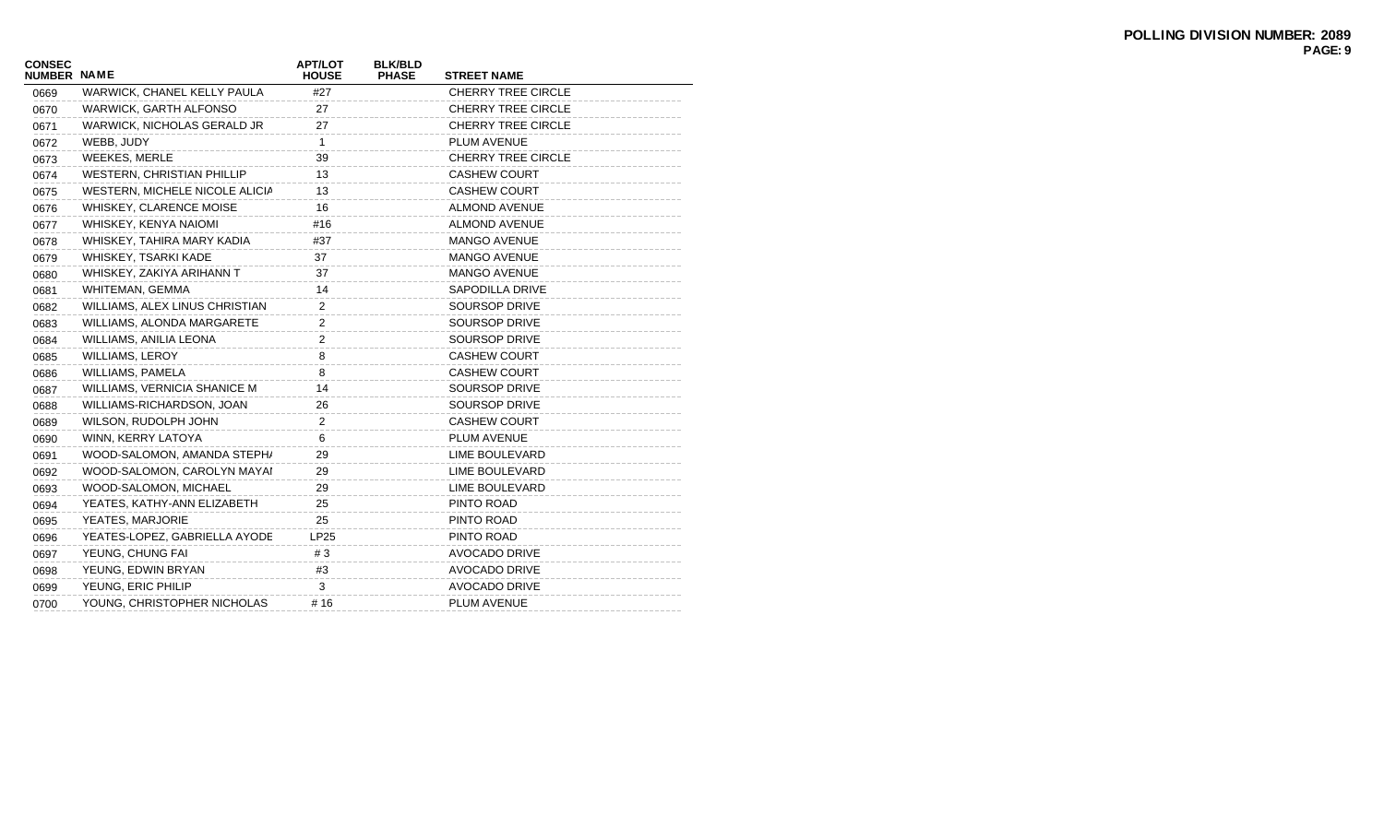| <b>CONSEC</b><br><b>NUMBER NAME</b> |                                | <b>APT/LOT</b><br><b>HOUSE</b> | <b>BLK/BLD</b><br><b>PHASE</b> | <b>STREET NAME</b>        |
|-------------------------------------|--------------------------------|--------------------------------|--------------------------------|---------------------------|
| 0669                                | WARWICK, CHANEL KELLY PAULA    | #27                            |                                | <b>CHERRY TREE CIRCLE</b> |
| 0670                                | WARWICK, GARTH ALFONSO         | 27                             |                                | <b>CHERRY TREE CIRCLE</b> |
| 0671                                | WARWICK, NICHOLAS GERALD JR    | 27                             |                                | <b>CHERRY TREE CIRCLE</b> |
| 0672                                | WEBB, JUDY                     | $\mathbf{1}$                   |                                | PLUM AVENUE               |
| 0673                                | WEEKES, MERLE                  | 39                             |                                | <b>CHERRY TREE CIRCLE</b> |
| 0674                                | WESTERN, CHRISTIAN PHILLIP     | 13                             |                                | <b>CASHEW COURT</b>       |
| 0675                                | WESTERN, MICHELE NICOLE ALICIA | 13                             |                                | <b>CASHEW COURT</b>       |
| 0676                                | WHISKEY, CLARENCE MOISE        | 16                             |                                | <b>ALMOND AVENUE</b>      |
| 0677                                | WHISKEY, KENYA NAIOMI          | #16                            |                                | <b>ALMOND AVENUE</b>      |
| 0678                                | WHISKEY, TAHIRA MARY KADIA     | #37                            |                                | MANGO AVENUE              |
| 0679                                | WHISKEY, TSARKI KADE           | 37                             |                                | <b>MANGO AVENUE</b>       |
| 0680                                | WHISKEY, ZAKIYA ARIHANN T      | 37                             |                                | <b>MANGO AVENUE</b>       |
| 0681                                | WHITEMAN, GEMMA                | 14                             |                                | <b>SAPODILLA DRIVE</b>    |
| 0682                                | WILLIAMS, ALEX LINUS CHRISTIAN | 2                              |                                | <b>SOURSOP DRIVE</b>      |
| 0683                                | WILLIAMS, ALONDA MARGARETE     | 2                              |                                | <b>SOURSOP DRIVE</b>      |
| 0684                                | WILLIAMS, ANILIA LEONA         | 2                              |                                | <b>SOURSOP DRIVE</b>      |
| 0685                                | <b>WILLIAMS, LEROY</b>         | 8                              |                                | <b>CASHEW COURT</b>       |
| 0686                                | <b>WILLIAMS, PAMELA</b>        | 8                              |                                | <b>CASHEW COURT</b>       |
| 0687                                | WILLIAMS, VERNICIA SHANICE M   | 14                             |                                | <b>SOURSOP DRIVE</b>      |
| 0688                                | WILLIAMS-RICHARDSON, JOAN      | 26                             |                                | <b>SOURSOP DRIVE</b>      |
| 0689                                | WILSON, RUDOLPH JOHN           | 2                              |                                | <b>CASHEW COURT</b>       |
| 0690                                | WINN, KERRY LATOYA             | 6                              |                                | PLUM AVENUE               |
| 0691                                | WOOD-SALOMON, AMANDA STEPH/    | 29                             |                                | <b>LIME BOULEVARD</b>     |
| 0692                                | WOOD-SALOMON, CAROLYN MAYAI    | 29                             |                                | LIME BOULEVARD            |
| 0693                                | WOOD-SALOMON, MICHAEL          | 29                             |                                | <b>LIME BOULEVARD</b>     |
| 0694                                | YEATES, KATHY-ANN ELIZABETH    | 25                             |                                | PINTO ROAD                |
| 0695                                | YEATES, MARJORIE               | 25                             |                                | PINTO ROAD                |
| 0696                                | YEATES-LOPEZ, GABRIELLA AYODE  | <b>LP25</b>                    |                                | PINTO ROAD                |
| 0697                                | YEUNG, CHUNG FAI               | #3                             |                                | <b>AVOCADO DRIVE</b>      |
| 0698                                | YEUNG, EDWIN BRYAN             | #3                             |                                | <b>AVOCADO DRIVE</b>      |
| 0699                                | YEUNG, ERIC PHILIP             | 3                              |                                | <b>AVOCADO DRIVE</b>      |
| 0700                                | YOUNG, CHRISTOPHER NICHOLAS    | #16                            |                                | PLUM AVENUE               |
|                                     |                                |                                |                                |                           |